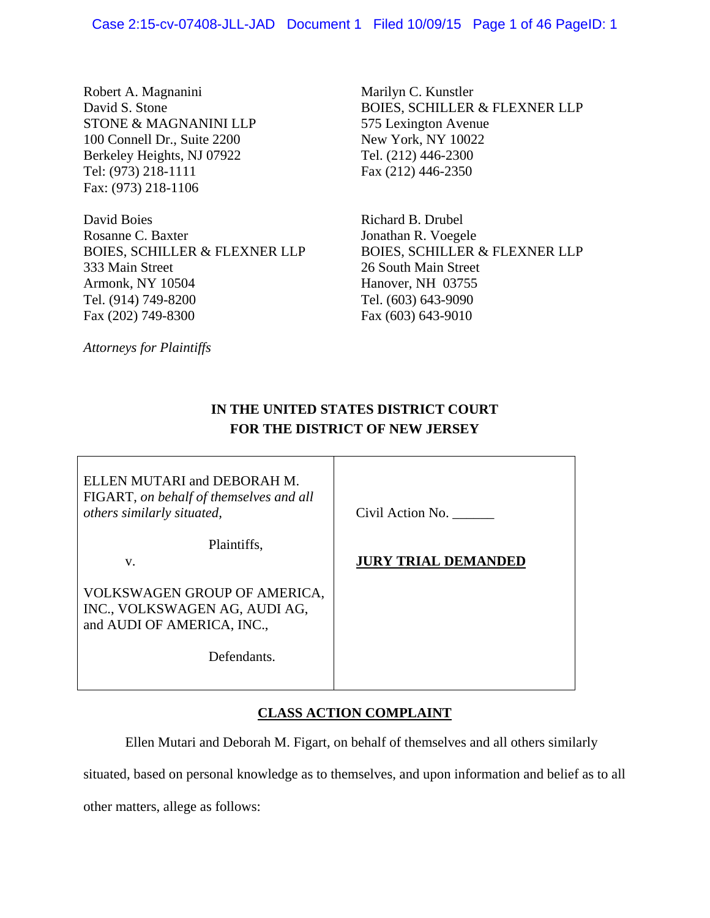Robert A. Magnanini David S. Stone STONE & MAGNANINI LLP 100 Connell Dr., Suite 2200 Berkeley Heights, NJ 07922 Tel: (973) 218-1111 Fax: (973) 218-1106

David Boies Rosanne C. Baxter BOIES, SCHILLER & FLEXNER LLP 333 Main Street Armonk, NY 10504 Tel. (914) 749-8200 Fax (202) 749-8300

*Attorneys for Plaintiffs* 

Marilyn C. Kunstler BOIES, SCHILLER & FLEXNER LLP 575 Lexington Avenue New York, NY 10022 Tel. (212) 446-2300 Fax (212) 446-2350

Richard B. Drubel Jonathan R. Voegele BOIES, SCHILLER & FLEXNER LLP 26 South Main Street Hanover, NH 03755 Tel. (603) 643-9090 Fax (603) 643-9010

# **IN THE UNITED STATES DISTRICT COURT FOR THE DISTRICT OF NEW JERSEY**

ELLEN MUTARI and DEBORAH M. FIGART, *on behalf of themselves and all others similarly situated,*

Plaintiffs,

v.

VOLKSWAGEN GROUP OF AMERICA, INC., VOLKSWAGEN AG, AUDI AG, and AUDI OF AMERICA, INC.,

Defendants.

Civil Action No. \_\_\_\_\_\_

**JURY TRIAL DEMANDED** 

# **CLASS ACTION COMPLAINT**

Ellen Mutari and Deborah M. Figart, on behalf of themselves and all others similarly

situated, based on personal knowledge as to themselves, and upon information and belief as to all

other matters, allege as follows: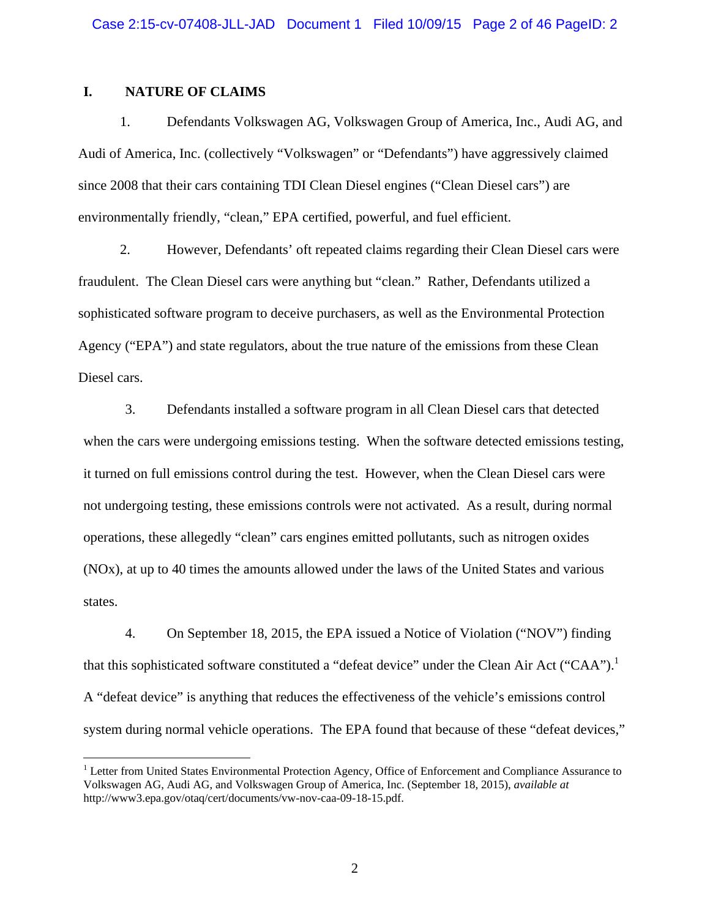### **I. NATURE OF CLAIMS**

<u>.</u>

1. Defendants Volkswagen AG, Volkswagen Group of America, Inc., Audi AG, and Audi of America, Inc. (collectively "Volkswagen" or "Defendants") have aggressively claimed since 2008 that their cars containing TDI Clean Diesel engines ("Clean Diesel cars") are environmentally friendly, "clean," EPA certified, powerful, and fuel efficient.

2. However, Defendants' oft repeated claims regarding their Clean Diesel cars were fraudulent. The Clean Diesel cars were anything but "clean." Rather, Defendants utilized a sophisticated software program to deceive purchasers, as well as the Environmental Protection Agency ("EPA") and state regulators, about the true nature of the emissions from these Clean Diesel cars.

3. Defendants installed a software program in all Clean Diesel cars that detected when the cars were undergoing emissions testing. When the software detected emissions testing, it turned on full emissions control during the test. However, when the Clean Diesel cars were not undergoing testing, these emissions controls were not activated. As a result, during normal operations, these allegedly "clean" cars engines emitted pollutants, such as nitrogen oxides (NOx), at up to 40 times the amounts allowed under the laws of the United States and various states.

4. On September 18, 2015, the EPA issued a Notice of Violation ("NOV") finding that this sophisticated software constituted a "defeat device" under the Clean Air Act ("CAA").<sup>1</sup> A "defeat device" is anything that reduces the effectiveness of the vehicle's emissions control system during normal vehicle operations. The EPA found that because of these "defeat devices,"

<sup>&</sup>lt;sup>1</sup> Letter from United States Environmental Protection Agency, Office of Enforcement and Compliance Assurance to Volkswagen AG, Audi AG, and Volkswagen Group of America, Inc. (September 18, 2015), *available at* http://www3.epa.gov/otaq/cert/documents/vw-nov-caa-09-18-15.pdf.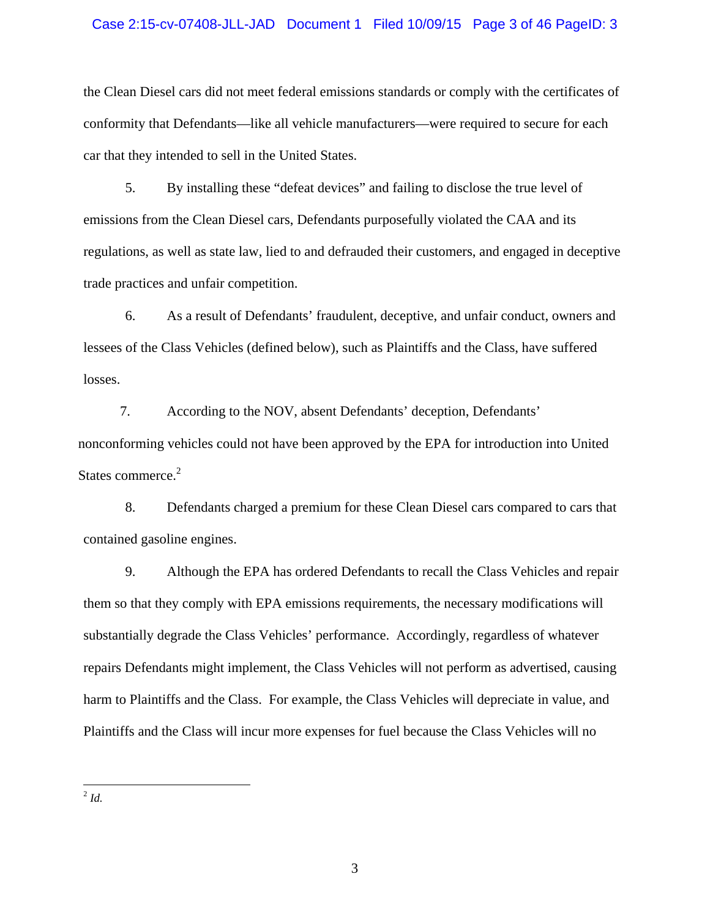#### Case 2:15-cv-07408-JLL-JAD Document 1 Filed 10/09/15 Page 3 of 46 PageID: 3

the Clean Diesel cars did not meet federal emissions standards or comply with the certificates of conformity that Defendants—like all vehicle manufacturers—were required to secure for each car that they intended to sell in the United States.

5. By installing these "defeat devices" and failing to disclose the true level of emissions from the Clean Diesel cars, Defendants purposefully violated the CAA and its regulations, as well as state law, lied to and defrauded their customers, and engaged in deceptive trade practices and unfair competition.

6. As a result of Defendants' fraudulent, deceptive, and unfair conduct, owners and lessees of the Class Vehicles (defined below), such as Plaintiffs and the Class, have suffered losses.

7. According to the NOV, absent Defendants' deception, Defendants' nonconforming vehicles could not have been approved by the EPA for introduction into United States commerce.<sup>2</sup>

8. Defendants charged a premium for these Clean Diesel cars compared to cars that contained gasoline engines.

9. Although the EPA has ordered Defendants to recall the Class Vehicles and repair them so that they comply with EPA emissions requirements, the necessary modifications will substantially degrade the Class Vehicles' performance. Accordingly, regardless of whatever repairs Defendants might implement, the Class Vehicles will not perform as advertised, causing harm to Plaintiffs and the Class. For example, the Class Vehicles will depreciate in value, and Plaintiffs and the Class will incur more expenses for fuel because the Class Vehicles will no

 $\overline{a}$ <sup>2</sup> *Id.*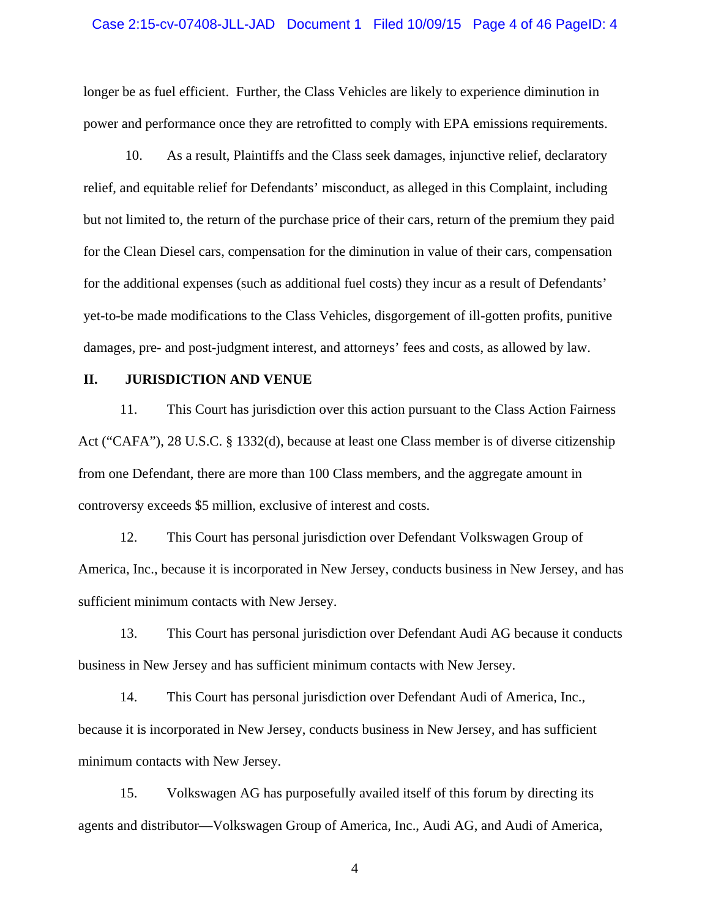#### Case 2:15-cv-07408-JLL-JAD Document 1 Filed 10/09/15 Page 4 of 46 PageID: 4

longer be as fuel efficient. Further, the Class Vehicles are likely to experience diminution in power and performance once they are retrofitted to comply with EPA emissions requirements.

10. As a result, Plaintiffs and the Class seek damages, injunctive relief, declaratory relief, and equitable relief for Defendants' misconduct, as alleged in this Complaint, including but not limited to, the return of the purchase price of their cars, return of the premium they paid for the Clean Diesel cars, compensation for the diminution in value of their cars, compensation for the additional expenses (such as additional fuel costs) they incur as a result of Defendants' yet-to-be made modifications to the Class Vehicles, disgorgement of ill-gotten profits, punitive damages, pre- and post-judgment interest, and attorneys' fees and costs, as allowed by law.

### **II. JURISDICTION AND VENUE**

11. This Court has jurisdiction over this action pursuant to the Class Action Fairness Act ("CAFA"), 28 U.S.C. § 1332(d), because at least one Class member is of diverse citizenship from one Defendant, there are more than 100 Class members, and the aggregate amount in controversy exceeds \$5 million, exclusive of interest and costs.

12. This Court has personal jurisdiction over Defendant Volkswagen Group of America, Inc., because it is incorporated in New Jersey, conducts business in New Jersey, and has sufficient minimum contacts with New Jersey.

13. This Court has personal jurisdiction over Defendant Audi AG because it conducts business in New Jersey and has sufficient minimum contacts with New Jersey.

14. This Court has personal jurisdiction over Defendant Audi of America, Inc., because it is incorporated in New Jersey, conducts business in New Jersey, and has sufficient minimum contacts with New Jersey.

15. Volkswagen AG has purposefully availed itself of this forum by directing its agents and distributor—Volkswagen Group of America, Inc., Audi AG, and Audi of America,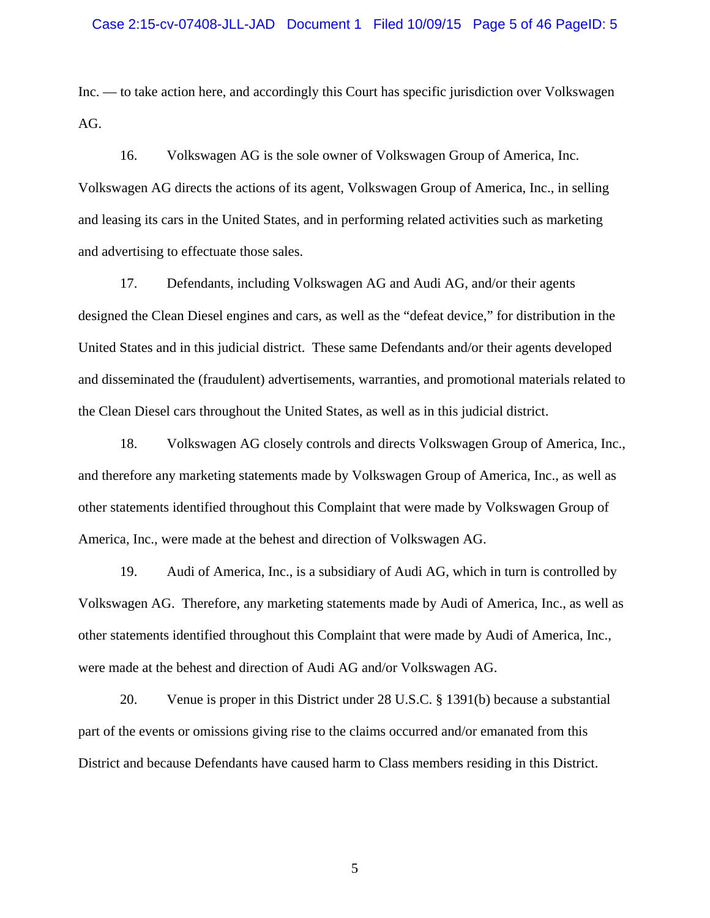Inc. — to take action here, and accordingly this Court has specific jurisdiction over Volkswagen AG.

16. Volkswagen AG is the sole owner of Volkswagen Group of America, Inc. Volkswagen AG directs the actions of its agent, Volkswagen Group of America, Inc., in selling and leasing its cars in the United States, and in performing related activities such as marketing and advertising to effectuate those sales.

17. Defendants, including Volkswagen AG and Audi AG, and/or their agents designed the Clean Diesel engines and cars, as well as the "defeat device," for distribution in the United States and in this judicial district. These same Defendants and/or their agents developed and disseminated the (fraudulent) advertisements, warranties, and promotional materials related to the Clean Diesel cars throughout the United States, as well as in this judicial district.

18. Volkswagen AG closely controls and directs Volkswagen Group of America, Inc., and therefore any marketing statements made by Volkswagen Group of America, Inc., as well as other statements identified throughout this Complaint that were made by Volkswagen Group of America, Inc., were made at the behest and direction of Volkswagen AG.

19. Audi of America, Inc., is a subsidiary of Audi AG, which in turn is controlled by Volkswagen AG. Therefore, any marketing statements made by Audi of America, Inc., as well as other statements identified throughout this Complaint that were made by Audi of America, Inc., were made at the behest and direction of Audi AG and/or Volkswagen AG.

20. Venue is proper in this District under 28 U.S.C. § 1391(b) because a substantial part of the events or omissions giving rise to the claims occurred and/or emanated from this District and because Defendants have caused harm to Class members residing in this District.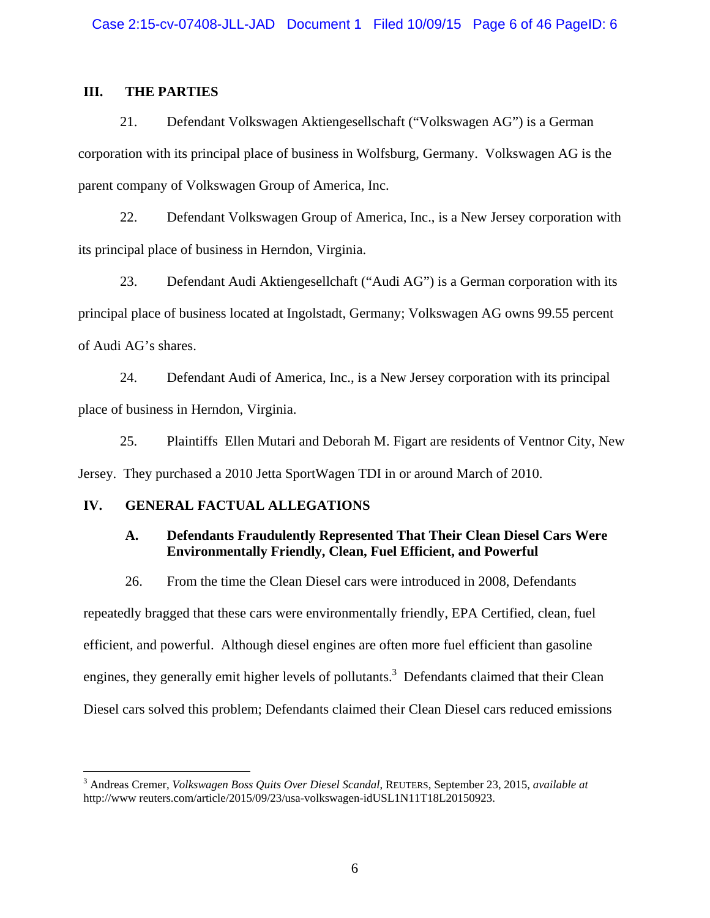## **III. THE PARTIES**

21. Defendant Volkswagen Aktiengesellschaft ("Volkswagen AG") is a German corporation with its principal place of business in Wolfsburg, Germany. Volkswagen AG is the parent company of Volkswagen Group of America, Inc.

22. Defendant Volkswagen Group of America, Inc., is a New Jersey corporation with its principal place of business in Herndon, Virginia.

23. Defendant Audi Aktiengesellchaft ("Audi AG") is a German corporation with its principal place of business located at Ingolstadt, Germany; Volkswagen AG owns 99.55 percent of Audi AG's shares.

24. Defendant Audi of America, Inc., is a New Jersey corporation with its principal place of business in Herndon, Virginia.

25. Plaintiffs Ellen Mutari and Deborah M. Figart are residents of Ventnor City, New Jersey. They purchased a 2010 Jetta SportWagen TDI in or around March of 2010.

## **IV. GENERAL FACTUAL ALLEGATIONS**

 $\overline{a}$ 

## **A. Defendants Fraudulently Represented That Their Clean Diesel Cars Were Environmentally Friendly, Clean, Fuel Efficient, and Powerful**

26. From the time the Clean Diesel cars were introduced in 2008, Defendants

repeatedly bragged that these cars were environmentally friendly, EPA Certified, clean, fuel efficient, and powerful. Although diesel engines are often more fuel efficient than gasoline engines, they generally emit higher levels of pollutants.<sup>3</sup> Defendants claimed that their Clean Diesel cars solved this problem; Defendants claimed their Clean Diesel cars reduced emissions

<sup>3</sup> Andreas Cremer, *Volkswagen Boss Quits Over Diesel Scandal*, REUTERS, September 23, 2015, *available at* http://www reuters.com/article/2015/09/23/usa-volkswagen-idUSL1N11T18L20150923.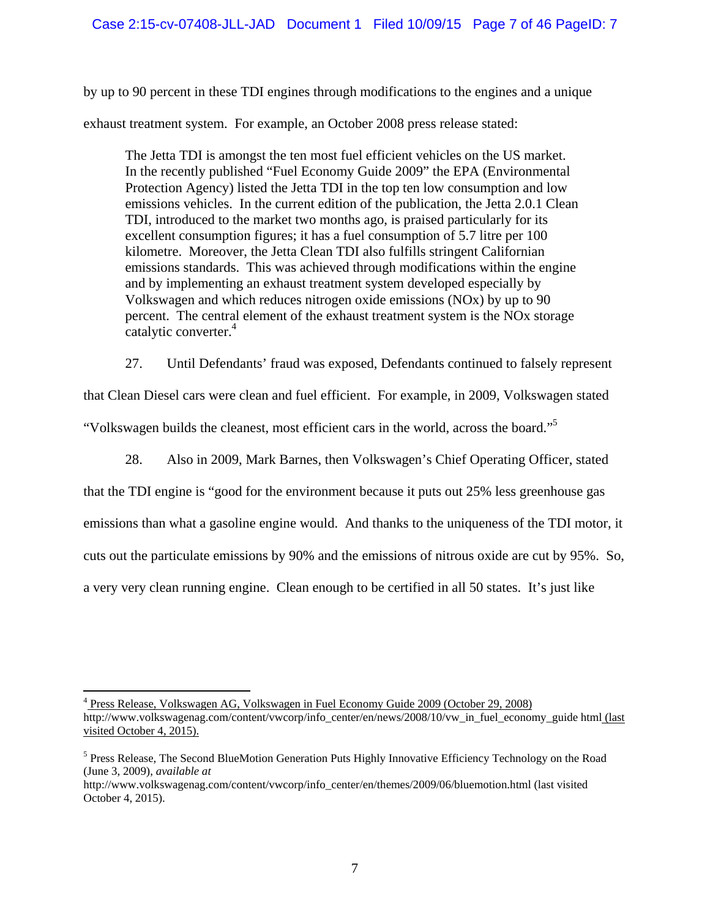by up to 90 percent in these TDI engines through modifications to the engines and a unique exhaust treatment system. For example, an October 2008 press release stated:

The Jetta TDI is amongst the ten most fuel efficient vehicles on the US market. In the recently published "Fuel Economy Guide 2009" the EPA (Environmental Protection Agency) listed the Jetta TDI in the top ten low consumption and low emissions vehicles. In the current edition of the publication, the Jetta 2.0.1 Clean TDI, introduced to the market two months ago, is praised particularly for its excellent consumption figures; it has a fuel consumption of 5.7 litre per 100 kilometre. Moreover, the Jetta Clean TDI also fulfills stringent Californian emissions standards. This was achieved through modifications within the engine and by implementing an exhaust treatment system developed especially by Volkswagen and which reduces nitrogen oxide emissions (NOx) by up to 90 percent. The central element of the exhaust treatment system is the NOx storage catalytic converter.<sup>4</sup>

27. Until Defendants' fraud was exposed, Defendants continued to falsely represent

that Clean Diesel cars were clean and fuel efficient. For example, in 2009, Volkswagen stated

"Volkswagen builds the cleanest, most efficient cars in the world, across the board."5

28. Also in 2009, Mark Barnes, then Volkswagen's Chief Operating Officer, stated

that the TDI engine is "good for the environment because it puts out 25% less greenhouse gas emissions than what a gasoline engine would. And thanks to the uniqueness of the TDI motor, it cuts out the particulate emissions by 90% and the emissions of nitrous oxide are cut by 95%. So, a very very clean running engine. Clean enough to be certified in all 50 states. It's just like

 4 Press Release, Volkswagen AG, Volkswagen in Fuel Economy Guide 2009 (October 29, 2008) http://www.volkswagenag.com/content/vwcorp/info\_center/en/news/2008/10/vw\_in\_fuel\_economy\_guide html (last visited October 4, 2015).

<sup>&</sup>lt;sup>5</sup> Press Release, The Second BlueMotion Generation Puts Highly Innovative Efficiency Technology on the Road (June 3, 2009), *available at* 

http://www.volkswagenag.com/content/vwcorp/info\_center/en/themes/2009/06/bluemotion.html (last visited October 4, 2015).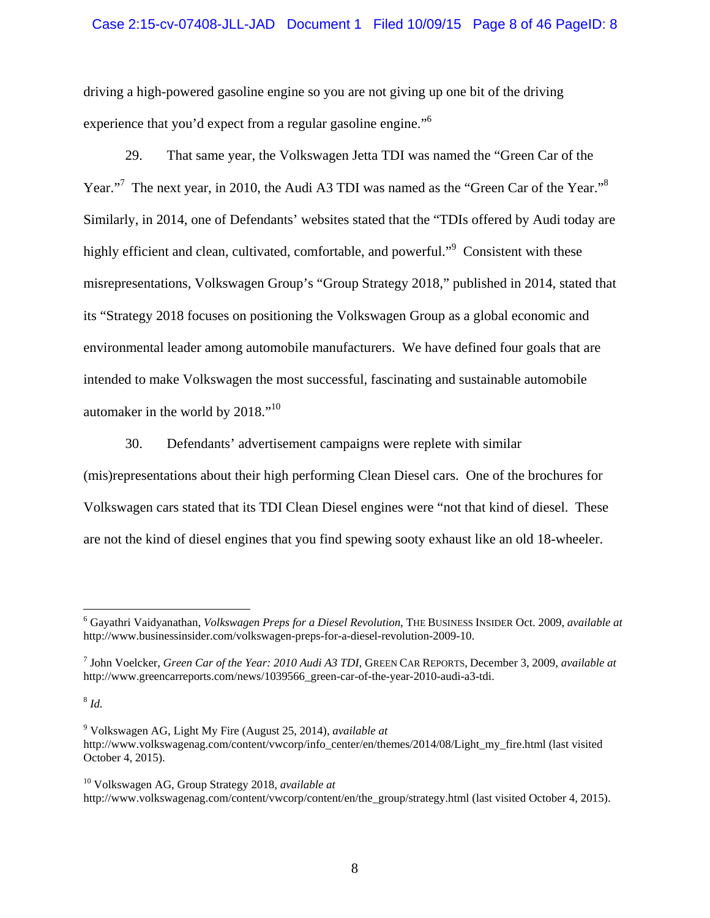### Case 2:15-cv-07408-JLL-JAD Document 1 Filed 10/09/15 Page 8 of 46 PageID: 8

driving a high-powered gasoline engine so you are not giving up one bit of the driving experience that you'd expect from a regular gasoline engine."<sup>6</sup>

29. That same year, the Volkswagen Jetta TDI was named the "Green Car of the Year."<sup>7</sup> The next year, in 2010, the Audi A3 TDI was named as the "Green Car of the Year."<sup>8</sup> Similarly, in 2014, one of Defendants' websites stated that the "TDIs offered by Audi today are highly efficient and clean, cultivated, comfortable, and powerful."<sup>9</sup> Consistent with these misrepresentations, Volkswagen Group's "Group Strategy 2018," published in 2014, stated that its "Strategy 2018 focuses on positioning the Volkswagen Group as a global economic and environmental leader among automobile manufacturers. We have defined four goals that are intended to make Volkswagen the most successful, fascinating and sustainable automobile automaker in the world by 2018."10

30. Defendants' advertisement campaigns were replete with similar

(mis)representations about their high performing Clean Diesel cars. One of the brochures for Volkswagen cars stated that its TDI Clean Diesel engines were "not that kind of diesel. These are not the kind of diesel engines that you find spewing sooty exhaust like an old 18-wheeler.

<sup>8</sup> *Id.*

 $\overline{a}$ 

<sup>6</sup> Gayathri Vaidyanathan, *Volkswagen Preps for a Diesel Revolution*, THE BUSINESS INSIDER Oct. 2009, *available at*  http://www.businessinsider.com/volkswagen-preps-for-a-diesel-revolution-2009-10.

<sup>7</sup> John Voelcker, *Green Car of the Year: 2010 Audi A3 TDI*, GREEN CAR REPORTS, December 3, 2009, *available at*  http://www.greencarreports.com/news/1039566\_green-car-of-the-year-2010-audi-a3-tdi.

<sup>9</sup> Volkswagen AG, Light My Fire (August 25, 2014), *available at*  http://www.volkswagenag.com/content/vwcorp/info\_center/en/themes/2014/08/Light\_my\_fire.html (last visited October 4, 2015).

<sup>10</sup> Volkswagen AG, Group Strategy 2018, *available at*  http://www.volkswagenag.com/content/vwcorp/content/en/the\_group/strategy.html (last visited October 4, 2015).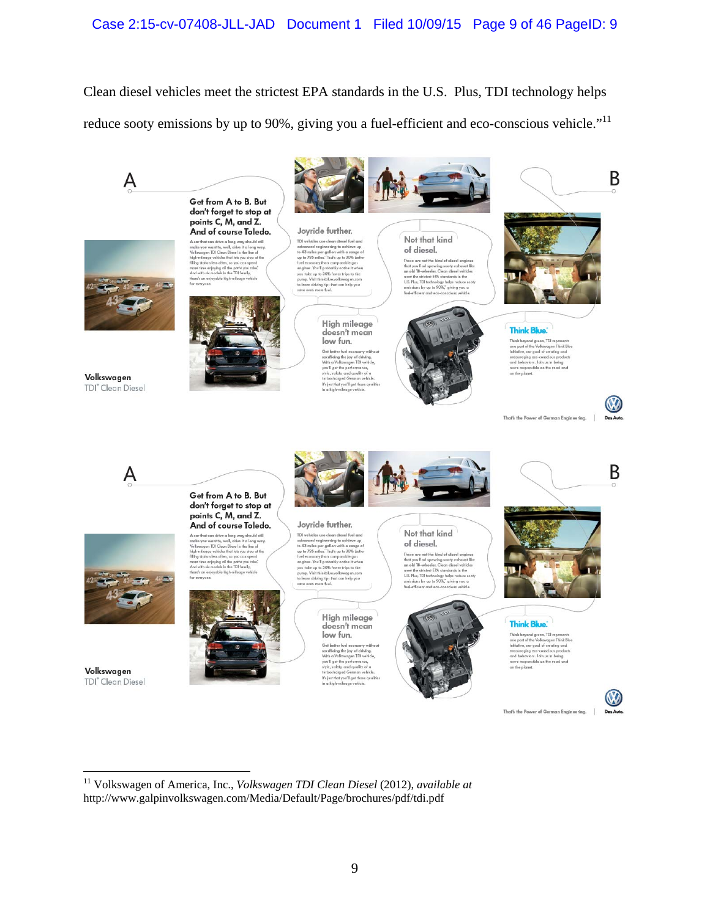Clean diesel vehicles meet the strictest EPA standards in the U.S. Plus, TDI technology helps reduce sooty emissions by up to 90%, giving you a fuel-efficient and eco-conscious vehicle."<sup>11</sup>



11 Volkswagen of America, Inc., *Volkswagen TDI Clean Diesel* (2012), *available at* http://www.galpinvolkswagen.com/Media/Default/Page/brochures/pdf/tdi.pdf

 $\overline{a}$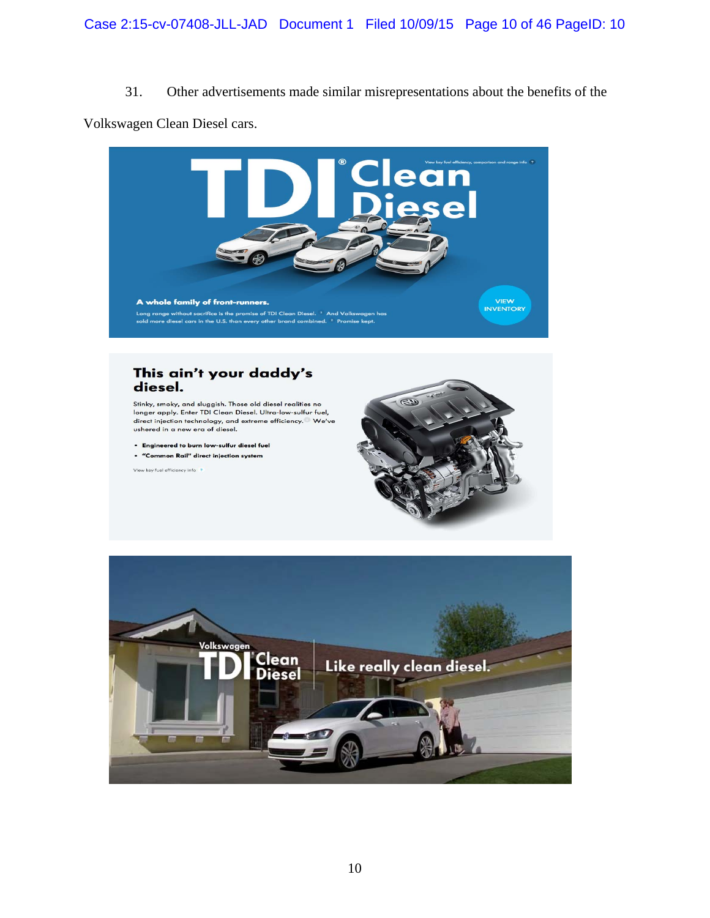## 31. Other advertisements made similar misrepresentations about the benefits of the

Volkswagen Clean Diesel cars.



### This ain't your daddy's diesel.

Stinky, smoky, and sluggish. Those old diesel realities no longer apply. Enter TDI Clean Diesel. Ultra-low-sulfur fuel, direct injection technology, and extreme efficiency. We've ushered in a new era of diesel.

. Engineered to burn low-sulfur diesel fuel

. "Common Rail" direct injection system

View key fuel efficiency info ?



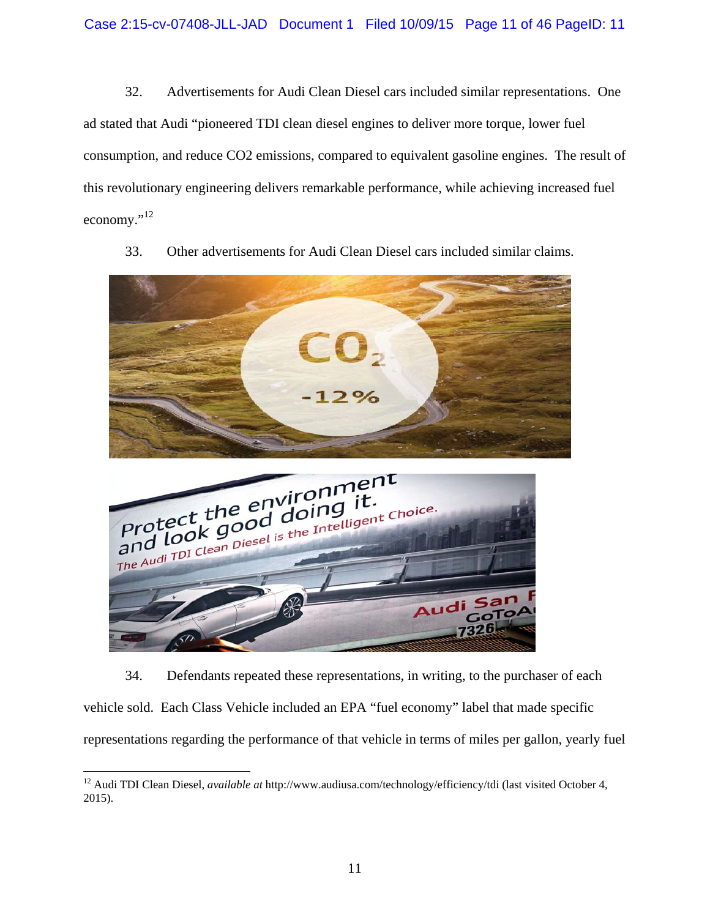32. Advertisements for Audi Clean Diesel cars included similar representations. One ad stated that Audi "pioneered TDI clean diesel engines to deliver more torque, lower fuel consumption, and reduce CO2 emissions, compared to equivalent gasoline engines. The result of this revolutionary engineering delivers remarkable performance, while achieving increased fuel economy."<sup>12</sup>



33. Other advertisements for Audi Clean Diesel cars included similar claims.

34. Defendants repeated these representations, in writing, to the purchaser of each vehicle sold. Each Class Vehicle included an EPA "fuel economy" label that made specific representations regarding the performance of that vehicle in terms of miles per gallon, yearly fuel

 $\overline{a}$ 12 Audi TDI Clean Diesel, *available at* http://www.audiusa.com/technology/efficiency/tdi (last visited October 4, 2015).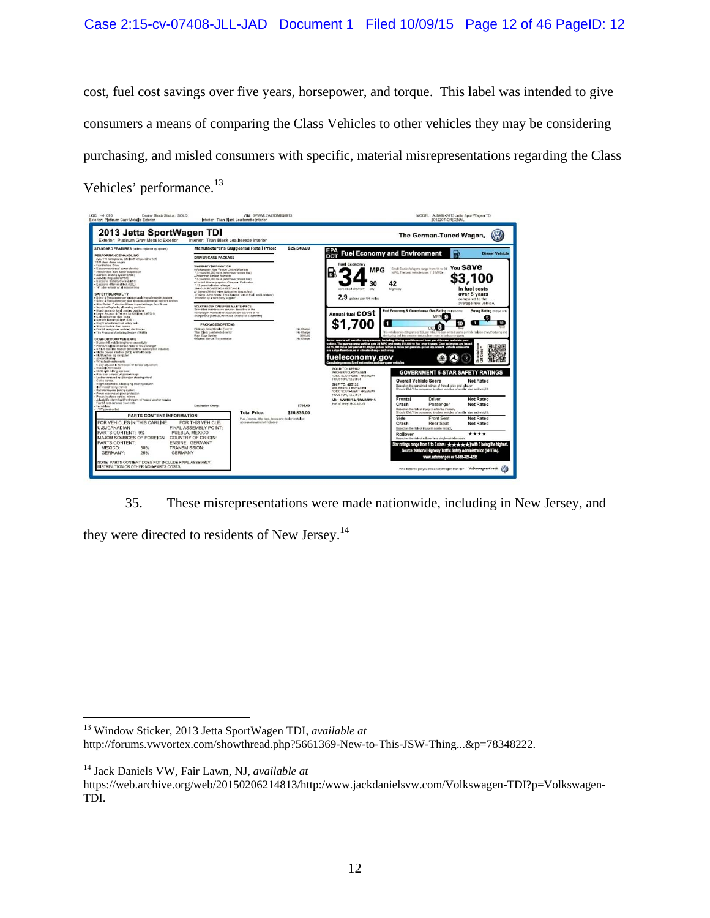cost, fuel cost savings over five years, horsepower, and torque. This label was intended to give consumers a means of comparing the Class Vehicles to other vehicles they may be considering purchasing, and misled consumers with specific, material misrepresentations regarding the Class Vehicles' performance.<sup>13</sup>



35. These misrepresentations were made nationwide, including in New Jersey, and they were directed to residents of New Jersey.<sup>14</sup>

13 Window Sticker, 2013 Jetta SportWagen TDI, *available at*

http://forums.vwvortex.com/showthread.php?5661369-New-to-This-JSW-Thing...&p=78348222.

14 Jack Daniels VW, Fair Lawn, NJ, *available at*

 $\overline{a}$ 

https://web.archive.org/web/20150206214813/http:/www.jackdanielsvw.com/Volkswagen-TDI?p=Volkswagen-TDI.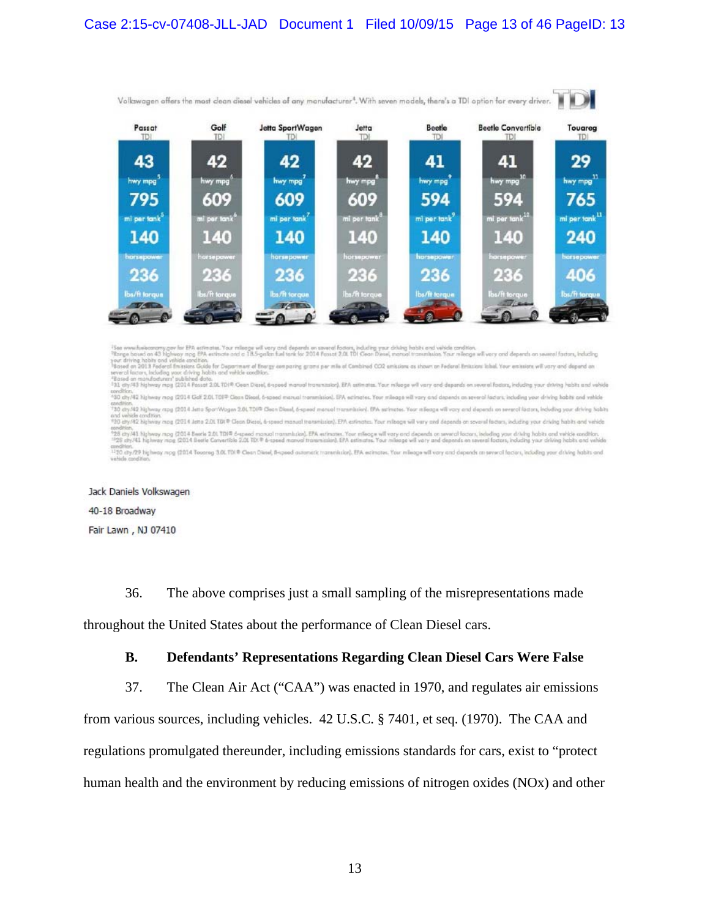

<sup>15</sup>80 www.huiboonamy.gov.for RPA estimate. Your mileage will very and depends on sweed/factors, industing your driving habits and velocks and tisn.<br>"Three boxed on 43 highway mag EPA estimate and a 18.5-gallas fuel tent l

waxnoor.<br>"30 diy/42 highway mog (2014 Golf 2.01 TDI® Clean Diesel, 6-speed manual transmission). EPA estimates. Your mileage will vary and depends as several ladars, including your driving habits and vehicle andRon.<br>"30 cty A2 Nghway apy (2014 Jens SportWagen 2.01,TDI® Clean Diseal, 6-speed manual manunister). IPA sarimates. Your mileage will vary and depends on several factors, including your driving Sabita<br>and selecte condit and vehicle condition. He was also a state of the Clean Desire, d-peed manual renumental and an entity. For mileage will very and depends on several factors, indicing your driving habits and vehicle<br>"30 dry-42 highway mog condition.<br>"28 city/41 histway mpg (2014 Beerle 2.01 TDF® 6-speed manual manushing, EPA enfinities, Your manushing on a sweed forcers, heliofing your driving you driving and vehicle condition.<br>""28 city/41 histway mpg (201 amdNot.<br><sup>12</sup>70 chy/29 highway mpg (2014 Toutreg 3.0LTD(® Clean Diesel, B-apoed automatic trammission). EPA extinctes. Your mileage will vary and depends on several lactors, including your driving habits and<br>salicity condi

Jack Daniels Volkswagen 40-18 Broadway

Fair Lawn, NJ 07410

36. The above comprises just a small sampling of the misrepresentations made

throughout the United States about the performance of Clean Diesel cars.

### **B. Defendants' Representations Regarding Clean Diesel Cars Were False**

37. The Clean Air Act ("CAA") was enacted in 1970, and regulates air emissions

from various sources, including vehicles. 42 U.S.C. § 7401, et seq. (1970). The CAA and regulations promulgated thereunder, including emissions standards for cars, exist to "protect human health and the environment by reducing emissions of nitrogen oxides (NOx) and other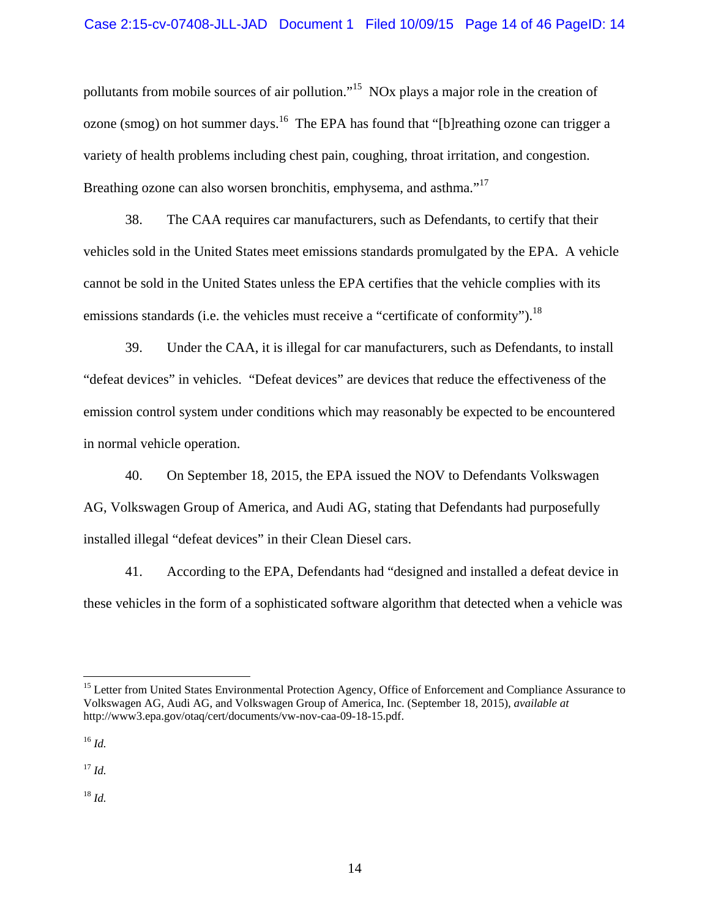pollutants from mobile sources of air pollution."<sup>15</sup> NOx plays a major role in the creation of ozone (smog) on hot summer days.<sup>16</sup> The EPA has found that "[b]reathing ozone can trigger a variety of health problems including chest pain, coughing, throat irritation, and congestion. Breathing ozone can also worsen bronchitis, emphysema, and asthma."<sup>17</sup>

38. The CAA requires car manufacturers, such as Defendants, to certify that their vehicles sold in the United States meet emissions standards promulgated by the EPA. A vehicle cannot be sold in the United States unless the EPA certifies that the vehicle complies with its emissions standards (i.e. the vehicles must receive a "certificate of conformity").<sup>18</sup>

39. Under the CAA, it is illegal for car manufacturers, such as Defendants, to install "defeat devices" in vehicles. "Defeat devices" are devices that reduce the effectiveness of the emission control system under conditions which may reasonably be expected to be encountered in normal vehicle operation.

40. On September 18, 2015, the EPA issued the NOV to Defendants Volkswagen AG, Volkswagen Group of America, and Audi AG, stating that Defendants had purposefully installed illegal "defeat devices" in their Clean Diesel cars.

41. According to the EPA, Defendants had "designed and installed a defeat device in these vehicles in the form of a sophisticated software algorithm that detected when a vehicle was

<sup>16</sup> *Id.*

 $\overline{a}$ 

<sup>17</sup> *Id.* 

<sup>18</sup> *Id.*

<sup>&</sup>lt;sup>15</sup> Letter from United States Environmental Protection Agency, Office of Enforcement and Compliance Assurance to Volkswagen AG, Audi AG, and Volkswagen Group of America, Inc. (September 18, 2015), *available at* http://www3.epa.gov/otaq/cert/documents/vw-nov-caa-09-18-15.pdf.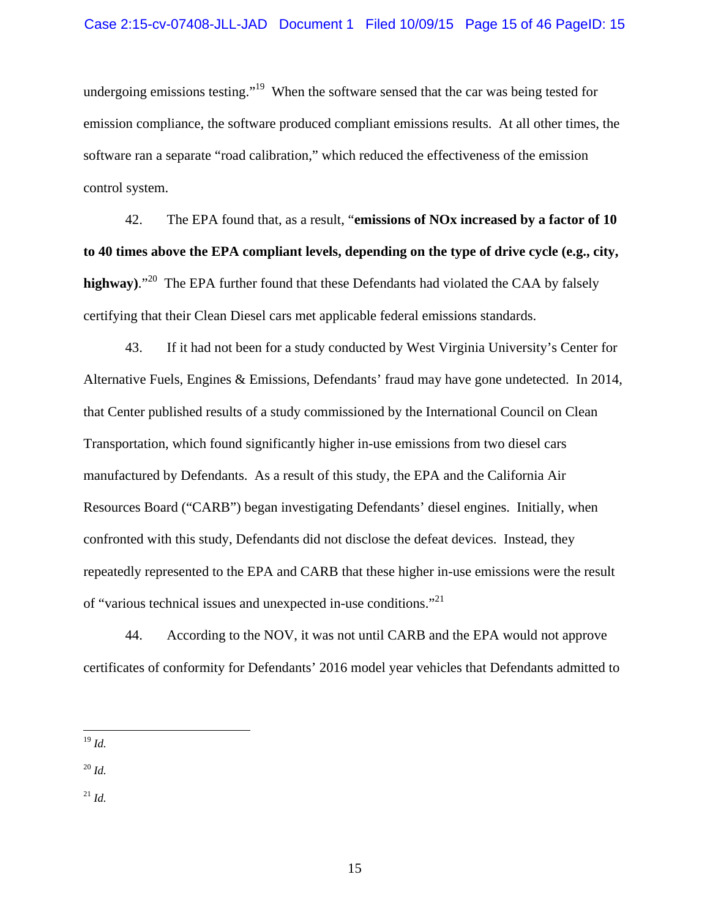undergoing emissions testing."<sup>19</sup> When the software sensed that the car was being tested for emission compliance, the software produced compliant emissions results. At all other times, the software ran a separate "road calibration," which reduced the effectiveness of the emission control system.

42. The EPA found that, as a result, "**emissions of NOx increased by a factor of 10 to 40 times above the EPA compliant levels, depending on the type of drive cycle (e.g., city, highway)**."<sup>20</sup>The EPA further found that these Defendants had violated the CAA by falsely certifying that their Clean Diesel cars met applicable federal emissions standards.

43. If it had not been for a study conducted by West Virginia University's Center for Alternative Fuels, Engines & Emissions, Defendants' fraud may have gone undetected. In 2014, that Center published results of a study commissioned by the International Council on Clean Transportation, which found significantly higher in-use emissions from two diesel cars manufactured by Defendants. As a result of this study, the EPA and the California Air Resources Board ("CARB") began investigating Defendants' diesel engines. Initially, when confronted with this study, Defendants did not disclose the defeat devices. Instead, they repeatedly represented to the EPA and CARB that these higher in-use emissions were the result of "various technical issues and unexpected in-use conditions."<sup>21</sup>

44. According to the NOV, it was not until CARB and the EPA would not approve certificates of conformity for Defendants' 2016 model year vehicles that Defendants admitted to

<sup>20</sup> *Id.*

<sup>21</sup> *Id.*

 $\overline{a}$ <sup>19</sup> *Id.*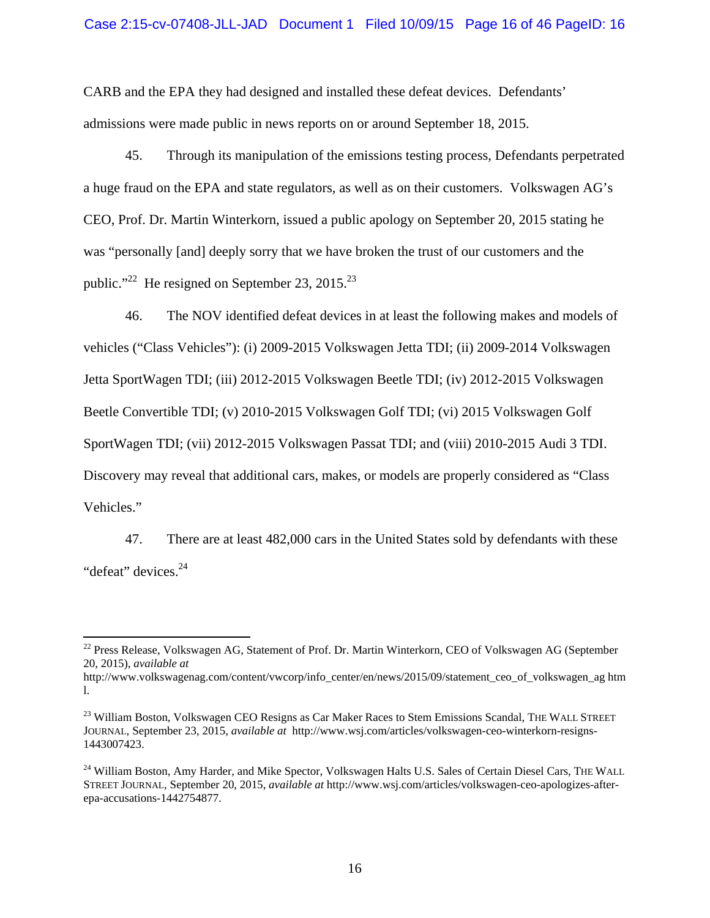CARB and the EPA they had designed and installed these defeat devices. Defendants' admissions were made public in news reports on or around September 18, 2015.

45. Through its manipulation of the emissions testing process, Defendants perpetrated a huge fraud on the EPA and state regulators, as well as on their customers. Volkswagen AG's CEO, Prof. Dr. Martin Winterkorn, issued a public apology on September 20, 2015 stating he was "personally [and] deeply sorry that we have broken the trust of our customers and the public."<sup>22</sup> He resigned on September 23, 2015.<sup>23</sup>

46. The NOV identified defeat devices in at least the following makes and models of vehicles ("Class Vehicles"): (i) 2009-2015 Volkswagen Jetta TDI; (ii) 2009-2014 Volkswagen Jetta SportWagen TDI; (iii) 2012-2015 Volkswagen Beetle TDI; (iv) 2012-2015 Volkswagen Beetle Convertible TDI; (v) 2010-2015 Volkswagen Golf TDI; (vi) 2015 Volkswagen Golf SportWagen TDI; (vii) 2012-2015 Volkswagen Passat TDI; and (viii) 2010-2015 Audi 3 TDI. Discovery may reveal that additional cars, makes, or models are properly considered as "Class Vehicles."

47. There are at least 482,000 cars in the United States sold by defendants with these "defeat" devices.<sup>24</sup>

 $\overline{a}$ 

<sup>&</sup>lt;sup>22</sup> Press Release, Volkswagen AG, Statement of Prof. Dr. Martin Winterkorn, CEO of Volkswagen AG (September 20, 2015), *available at*

http://www.volkswagenag.com/content/vwcorp/info\_center/en/news/2015/09/statement\_ceo\_of\_volkswagen\_ag htm l.

<sup>&</sup>lt;sup>23</sup> William Boston, Volkswagen CEO Resigns as Car Maker Races to Stem Emissions Scandal, THE WALL STREET JOURNAL, September 23, 2015, *available at* http://www.wsj.com/articles/volkswagen-ceo-winterkorn-resigns-1443007423.

<sup>&</sup>lt;sup>24</sup> William Boston, Amy Harder, and Mike Spector, Volkswagen Halts U.S. Sales of Certain Diesel Cars, THE WALL STREET JOURNAL, September 20, 2015, *available at* http://www.wsj.com/articles/volkswagen-ceo-apologizes-afterepa-accusations-1442754877.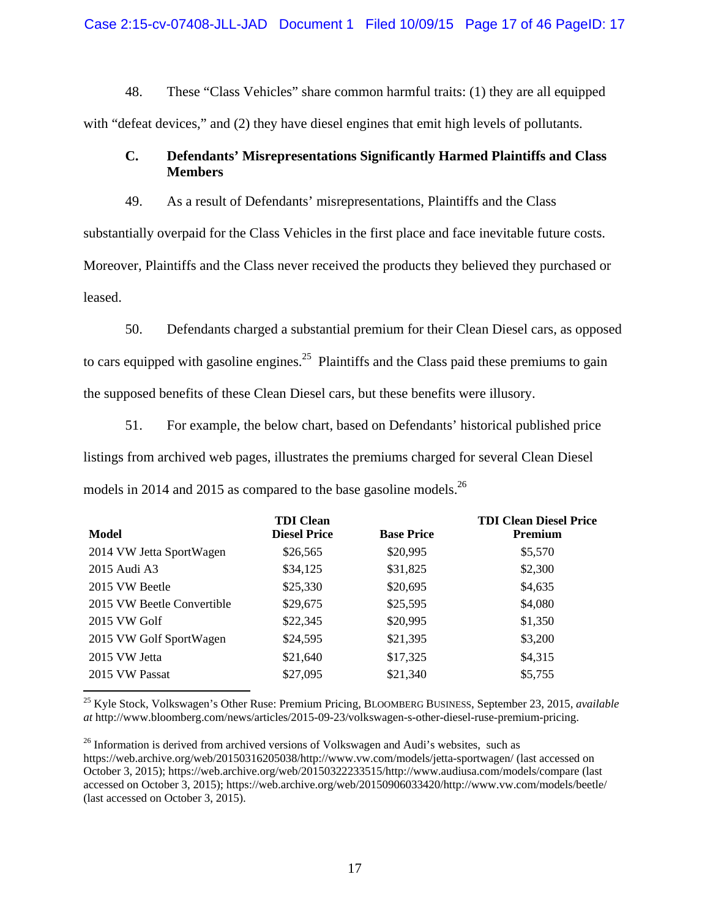### Case 2:15-cv-07408-JLL-JAD Document 1 Filed 10/09/15 Page 17 of 46 PageID: 17

48. These "Class Vehicles" share common harmful traits: (1) they are all equipped with "defeat devices," and (2) they have diesel engines that emit high levels of pollutants.

## **C. Defendants' Misrepresentations Significantly Harmed Plaintiffs and Class Members**

49. As a result of Defendants' misrepresentations, Plaintiffs and the Class

substantially overpaid for the Class Vehicles in the first place and face inevitable future costs.

Moreover, Plaintiffs and the Class never received the products they believed they purchased or leased.

50. Defendants charged a substantial premium for their Clean Diesel cars, as opposed to cars equipped with gasoline engines.<sup>25</sup> Plaintiffs and the Class paid these premiums to gain the supposed benefits of these Clean Diesel cars, but these benefits were illusory.

51. For example, the below chart, based on Defendants' historical published price listings from archived web pages, illustrates the premiums charged for several Clean Diesel models in 2014 and 2015 as compared to the base gasoline models.<sup>26</sup>

| <b>TDI</b> Clean<br><b>Diesel Price</b> | <b>Base Price</b> | <b>TDI Clean Diesel Price</b><br><b>Premium</b> |
|-----------------------------------------|-------------------|-------------------------------------------------|
| \$26,565                                | \$20,995          | \$5,570                                         |
| \$34,125                                | \$31,825          | \$2,300                                         |
| \$25,330                                | \$20,695          | \$4,635                                         |
| \$29,675                                | \$25,595          | \$4,080                                         |
| \$22,345                                | \$20,995          | \$1,350                                         |
| \$24,595                                | \$21,395          | \$3,200                                         |
| \$21,640                                | \$17,325          | \$4,315                                         |
| \$27,095                                | \$21,340          | \$5,755                                         |
|                                         |                   |                                                 |

25 Kyle Stock, Volkswagen's Other Ruse: Premium Pricing, BLOOMBERG BUSINESS, September 23, 2015, *available at* http://www.bloomberg.com/news/articles/2015-09-23/volkswagen-s-other-diesel-ruse-premium-pricing.

<sup>&</sup>lt;sup>26</sup> Information is derived from archived versions of Volkswagen and Audi's websites, such as https://web.archive.org/web/20150316205038/http://www.vw.com/models/jetta-sportwagen/ (last accessed on October 3, 2015); https://web.archive.org/web/20150322233515/http://www.audiusa.com/models/compare (last accessed on October 3, 2015); https://web.archive.org/web/20150906033420/http://www.vw.com/models/beetle/ (last accessed on October 3, 2015).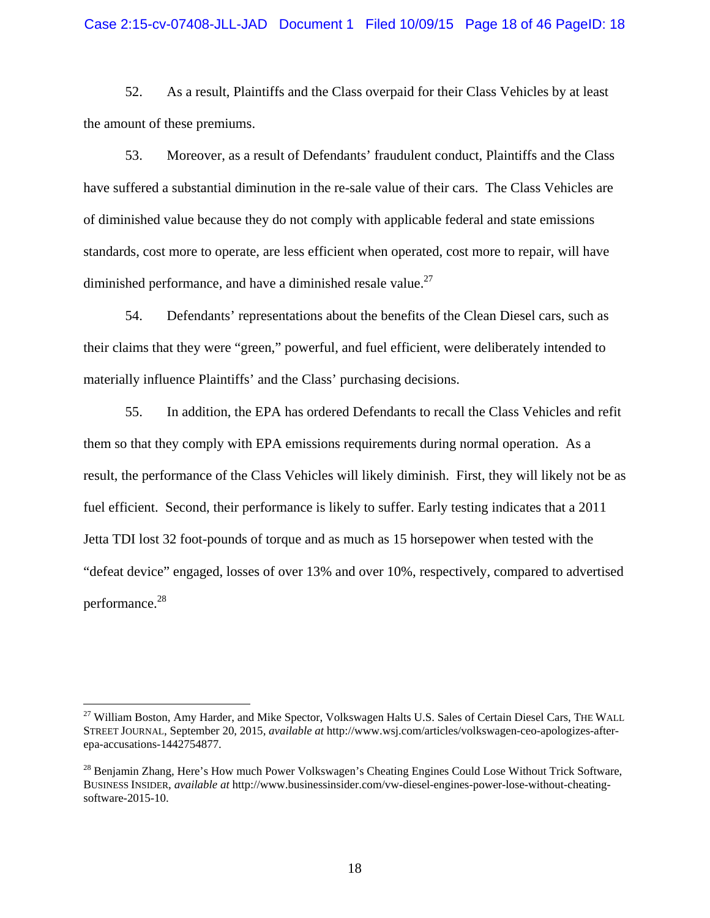#### Case 2:15-cv-07408-JLL-JAD Document 1 Filed 10/09/15 Page 18 of 46 PageID: 18

52. As a result, Plaintiffs and the Class overpaid for their Class Vehicles by at least the amount of these premiums.

53. Moreover, as a result of Defendants' fraudulent conduct, Plaintiffs and the Class have suffered a substantial diminution in the re-sale value of their cars. The Class Vehicles are of diminished value because they do not comply with applicable federal and state emissions standards, cost more to operate, are less efficient when operated, cost more to repair, will have diminished performance, and have a diminished resale value. $^{27}$ 

54. Defendants' representations about the benefits of the Clean Diesel cars, such as their claims that they were "green," powerful, and fuel efficient, were deliberately intended to materially influence Plaintiffs' and the Class' purchasing decisions.

55. In addition, the EPA has ordered Defendants to recall the Class Vehicles and refit them so that they comply with EPA emissions requirements during normal operation. As a result, the performance of the Class Vehicles will likely diminish. First, they will likely not be as fuel efficient. Second, their performance is likely to suffer. Early testing indicates that a 2011 Jetta TDI lost 32 foot-pounds of torque and as much as 15 horsepower when tested with the "defeat device" engaged, losses of over 13% and over 10%, respectively, compared to advertised performance.28

 $\overline{a}$ 

<sup>&</sup>lt;sup>27</sup> William Boston, Amy Harder, and Mike Spector, Volkswagen Halts U.S. Sales of Certain Diesel Cars, THE WALL STREET JOURNAL, September 20, 2015, *available at* http://www.wsj.com/articles/volkswagen-ceo-apologizes-afterepa-accusations-1442754877.

<sup>&</sup>lt;sup>28</sup> Benjamin Zhang, Here's How much Power Volkswagen's Cheating Engines Could Lose Without Trick Software, BUSINESS INSIDER, *available at* http://www.businessinsider.com/vw-diesel-engines-power-lose-without-cheatingsoftware-2015-10.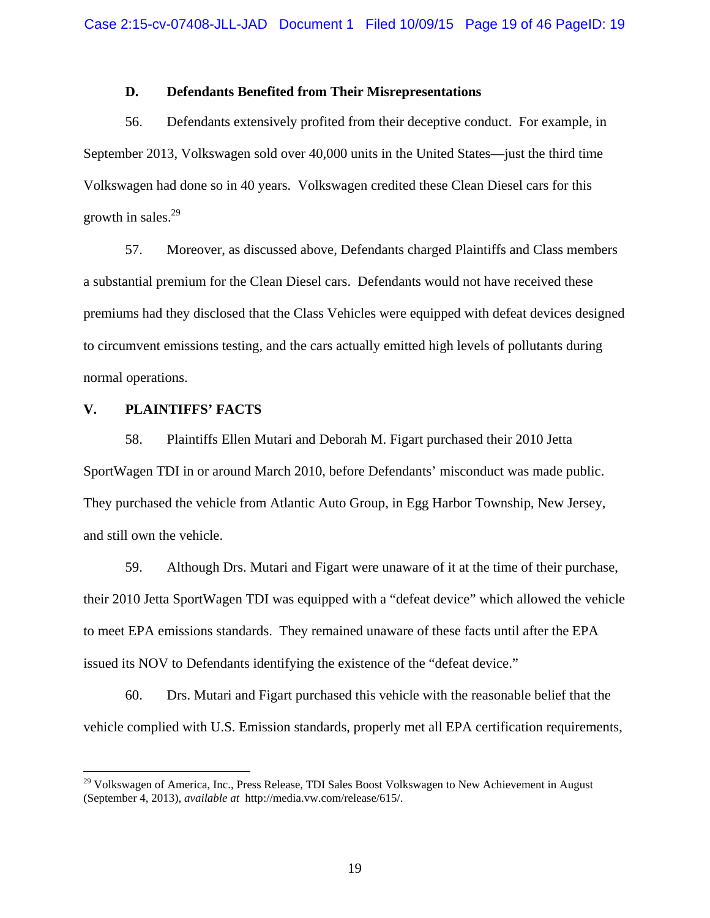## **D. Defendants Benefited from Their Misrepresentations**

56. Defendants extensively profited from their deceptive conduct. For example, in September 2013, Volkswagen sold over 40,000 units in the United States—just the third time Volkswagen had done so in 40 years. Volkswagen credited these Clean Diesel cars for this growth in sales. $29$ 

57. Moreover, as discussed above, Defendants charged Plaintiffs and Class members a substantial premium for the Clean Diesel cars. Defendants would not have received these premiums had they disclosed that the Class Vehicles were equipped with defeat devices designed to circumvent emissions testing, and the cars actually emitted high levels of pollutants during normal operations.

## **V. PLAINTIFFS' FACTS**

1

58. Plaintiffs Ellen Mutari and Deborah M. Figart purchased their 2010 Jetta SportWagen TDI in or around March 2010, before Defendants' misconduct was made public. They purchased the vehicle from Atlantic Auto Group, in Egg Harbor Township, New Jersey, and still own the vehicle.

59. Although Drs. Mutari and Figart were unaware of it at the time of their purchase, their 2010 Jetta SportWagen TDI was equipped with a "defeat device" which allowed the vehicle to meet EPA emissions standards. They remained unaware of these facts until after the EPA issued its NOV to Defendants identifying the existence of the "defeat device."

60. Drs. Mutari and Figart purchased this vehicle with the reasonable belief that the vehicle complied with U.S. Emission standards, properly met all EPA certification requirements,

<sup>&</sup>lt;sup>29</sup> Volkswagen of America, Inc., Press Release, TDI Sales Boost Volkswagen to New Achievement in August (September 4, 2013), *available at* http://media.vw.com/release/615/.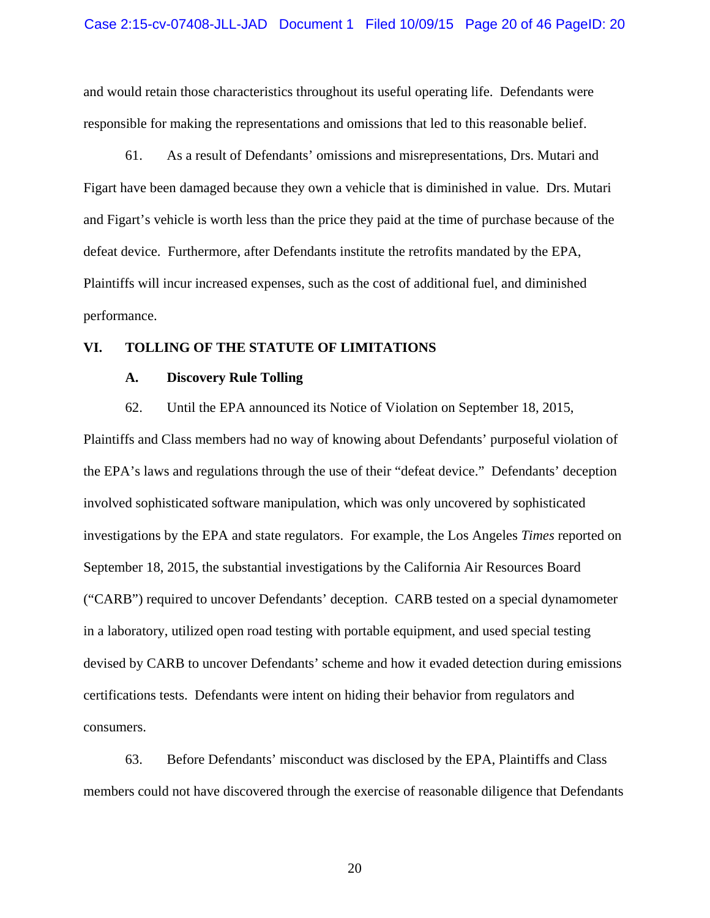and would retain those characteristics throughout its useful operating life. Defendants were responsible for making the representations and omissions that led to this reasonable belief.

61. As a result of Defendants' omissions and misrepresentations, Drs. Mutari and Figart have been damaged because they own a vehicle that is diminished in value. Drs. Mutari and Figart's vehicle is worth less than the price they paid at the time of purchase because of the defeat device. Furthermore, after Defendants institute the retrofits mandated by the EPA, Plaintiffs will incur increased expenses, such as the cost of additional fuel, and diminished performance.

## **VI. TOLLING OF THE STATUTE OF LIMITATIONS**

### **A. Discovery Rule Tolling**

62. Until the EPA announced its Notice of Violation on September 18, 2015,

Plaintiffs and Class members had no way of knowing about Defendants' purposeful violation of the EPA's laws and regulations through the use of their "defeat device." Defendants' deception involved sophisticated software manipulation, which was only uncovered by sophisticated investigations by the EPA and state regulators. For example, the Los Angeles *Times* reported on September 18, 2015, the substantial investigations by the California Air Resources Board ("CARB") required to uncover Defendants' deception. CARB tested on a special dynamometer in a laboratory, utilized open road testing with portable equipment, and used special testing devised by CARB to uncover Defendants' scheme and how it evaded detection during emissions certifications tests. Defendants were intent on hiding their behavior from regulators and consumers.

63. Before Defendants' misconduct was disclosed by the EPA, Plaintiffs and Class members could not have discovered through the exercise of reasonable diligence that Defendants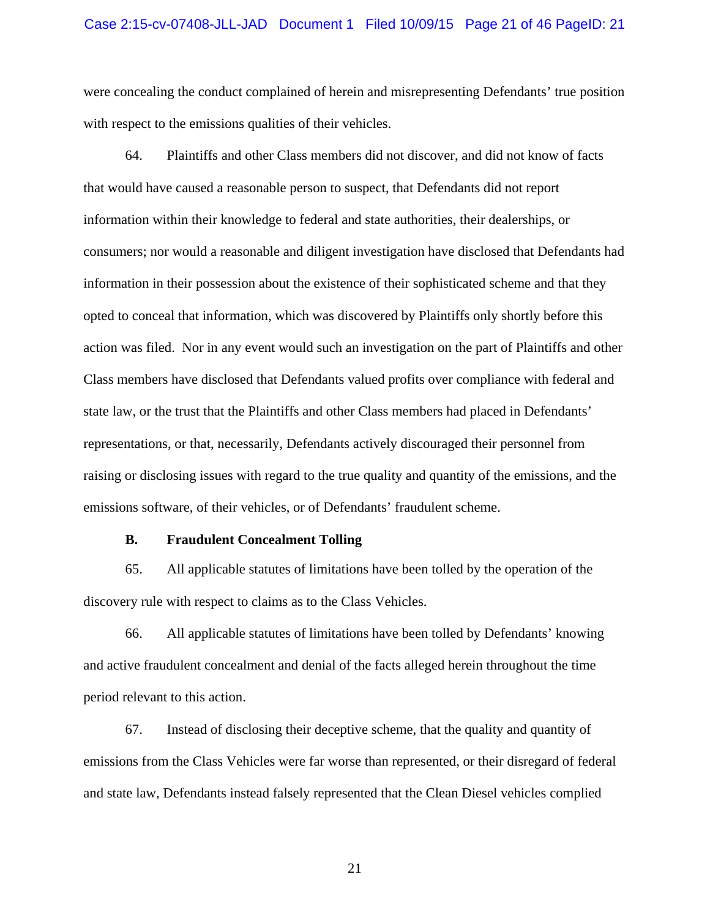#### Case 2:15-cv-07408-JLL-JAD Document 1 Filed 10/09/15 Page 21 of 46 PageID: 21

were concealing the conduct complained of herein and misrepresenting Defendants' true position with respect to the emissions qualities of their vehicles.

64. Plaintiffs and other Class members did not discover, and did not know of facts that would have caused a reasonable person to suspect, that Defendants did not report information within their knowledge to federal and state authorities, their dealerships, or consumers; nor would a reasonable and diligent investigation have disclosed that Defendants had information in their possession about the existence of their sophisticated scheme and that they opted to conceal that information, which was discovered by Plaintiffs only shortly before this action was filed. Nor in any event would such an investigation on the part of Plaintiffs and other Class members have disclosed that Defendants valued profits over compliance with federal and state law, or the trust that the Plaintiffs and other Class members had placed in Defendants' representations, or that, necessarily, Defendants actively discouraged their personnel from raising or disclosing issues with regard to the true quality and quantity of the emissions, and the emissions software, of their vehicles, or of Defendants' fraudulent scheme.

#### **B. Fraudulent Concealment Tolling**

65. All applicable statutes of limitations have been tolled by the operation of the discovery rule with respect to claims as to the Class Vehicles.

66. All applicable statutes of limitations have been tolled by Defendants' knowing and active fraudulent concealment and denial of the facts alleged herein throughout the time period relevant to this action.

67. Instead of disclosing their deceptive scheme, that the quality and quantity of emissions from the Class Vehicles were far worse than represented, or their disregard of federal and state law, Defendants instead falsely represented that the Clean Diesel vehicles complied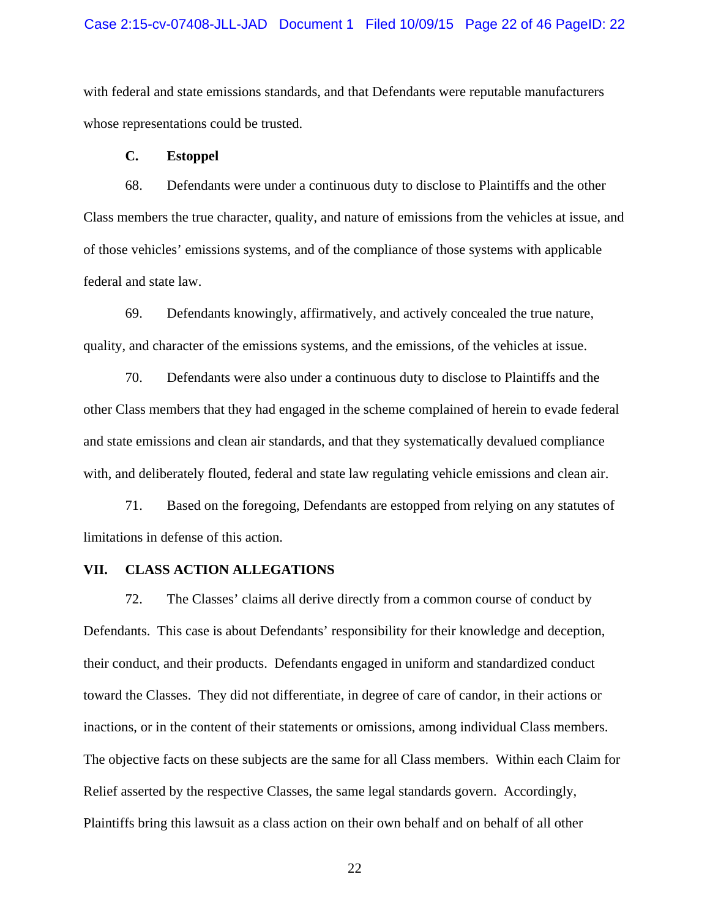#### Case 2:15-cv-07408-JLL-JAD Document 1 Filed 10/09/15 Page 22 of 46 PageID: 22

with federal and state emissions standards, and that Defendants were reputable manufacturers whose representations could be trusted.

### **C. Estoppel**

68. Defendants were under a continuous duty to disclose to Plaintiffs and the other Class members the true character, quality, and nature of emissions from the vehicles at issue, and of those vehicles' emissions systems, and of the compliance of those systems with applicable federal and state law.

69. Defendants knowingly, affirmatively, and actively concealed the true nature, quality, and character of the emissions systems, and the emissions, of the vehicles at issue.

70. Defendants were also under a continuous duty to disclose to Plaintiffs and the other Class members that they had engaged in the scheme complained of herein to evade federal and state emissions and clean air standards, and that they systematically devalued compliance with, and deliberately flouted, federal and state law regulating vehicle emissions and clean air.

71. Based on the foregoing, Defendants are estopped from relying on any statutes of limitations in defense of this action.

### **VII. CLASS ACTION ALLEGATIONS**

72. The Classes' claims all derive directly from a common course of conduct by Defendants. This case is about Defendants' responsibility for their knowledge and deception, their conduct, and their products. Defendants engaged in uniform and standardized conduct toward the Classes. They did not differentiate, in degree of care of candor, in their actions or inactions, or in the content of their statements or omissions, among individual Class members. The objective facts on these subjects are the same for all Class members. Within each Claim for Relief asserted by the respective Classes, the same legal standards govern. Accordingly, Plaintiffs bring this lawsuit as a class action on their own behalf and on behalf of all other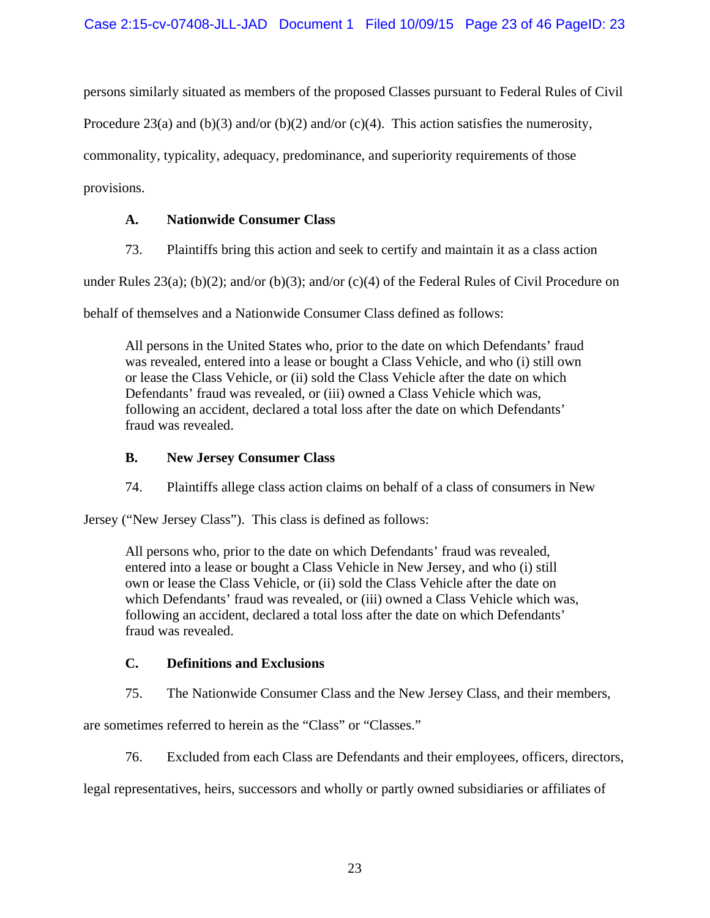persons similarly situated as members of the proposed Classes pursuant to Federal Rules of Civil

Procedure 23(a) and (b)(3) and/or (b)(2) and/or (c)(4). This action satisfies the numerosity,

commonality, typicality, adequacy, predominance, and superiority requirements of those

provisions.

## **A. Nationwide Consumer Class**

73. Plaintiffs bring this action and seek to certify and maintain it as a class action

under Rules 23(a); (b)(2); and/or (b)(3); and/or (c)(4) of the Federal Rules of Civil Procedure on

behalf of themselves and a Nationwide Consumer Class defined as follows:

All persons in the United States who, prior to the date on which Defendants' fraud was revealed, entered into a lease or bought a Class Vehicle, and who (i) still own or lease the Class Vehicle, or (ii) sold the Class Vehicle after the date on which Defendants' fraud was revealed, or (iii) owned a Class Vehicle which was, following an accident, declared a total loss after the date on which Defendants' fraud was revealed.

## **B. New Jersey Consumer Class**

74. Plaintiffs allege class action claims on behalf of a class of consumers in New

Jersey ("New Jersey Class"). This class is defined as follows:

All persons who, prior to the date on which Defendants' fraud was revealed, entered into a lease or bought a Class Vehicle in New Jersey, and who (i) still own or lease the Class Vehicle, or (ii) sold the Class Vehicle after the date on which Defendants' fraud was revealed, or (iii) owned a Class Vehicle which was, following an accident, declared a total loss after the date on which Defendants' fraud was revealed.

## **C. Definitions and Exclusions**

75. The Nationwide Consumer Class and the New Jersey Class, and their members,

are sometimes referred to herein as the "Class" or "Classes."

76. Excluded from each Class are Defendants and their employees, officers, directors,

legal representatives, heirs, successors and wholly or partly owned subsidiaries or affiliates of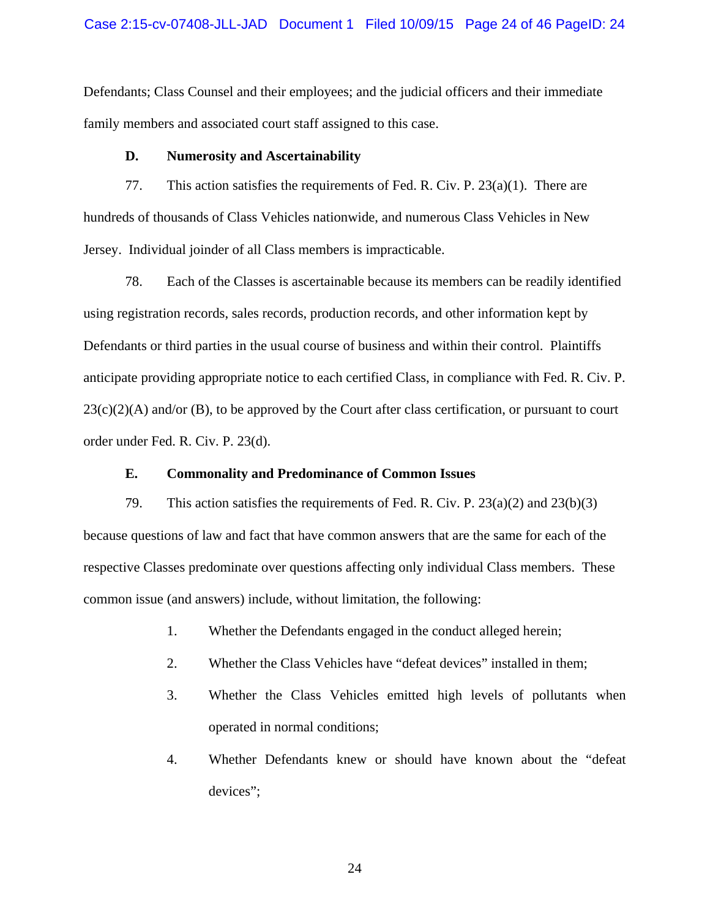### Case 2:15-cv-07408-JLL-JAD Document 1 Filed 10/09/15 Page 24 of 46 PageID: 24

Defendants; Class Counsel and their employees; and the judicial officers and their immediate family members and associated court staff assigned to this case.

### **D. Numerosity and Ascertainability**

77. This action satisfies the requirements of Fed. R. Civ. P.  $23(a)(1)$ . There are hundreds of thousands of Class Vehicles nationwide, and numerous Class Vehicles in New Jersey. Individual joinder of all Class members is impracticable.

78. Each of the Classes is ascertainable because its members can be readily identified using registration records, sales records, production records, and other information kept by Defendants or third parties in the usual course of business and within their control. Plaintiffs anticipate providing appropriate notice to each certified Class, in compliance with Fed. R. Civ. P.  $23(c)(2)(A)$  and/or (B), to be approved by the Court after class certification, or pursuant to court order under Fed. R. Civ. P. 23(d).

### **E. Commonality and Predominance of Common Issues**

79. This action satisfies the requirements of Fed. R. Civ. P. 23(a)(2) and 23(b)(3) because questions of law and fact that have common answers that are the same for each of the respective Classes predominate over questions affecting only individual Class members. These common issue (and answers) include, without limitation, the following:

- 1. Whether the Defendants engaged in the conduct alleged herein;
- 2. Whether the Class Vehicles have "defeat devices" installed in them;
- 3. Whether the Class Vehicles emitted high levels of pollutants when operated in normal conditions;
- 4. Whether Defendants knew or should have known about the "defeat devices";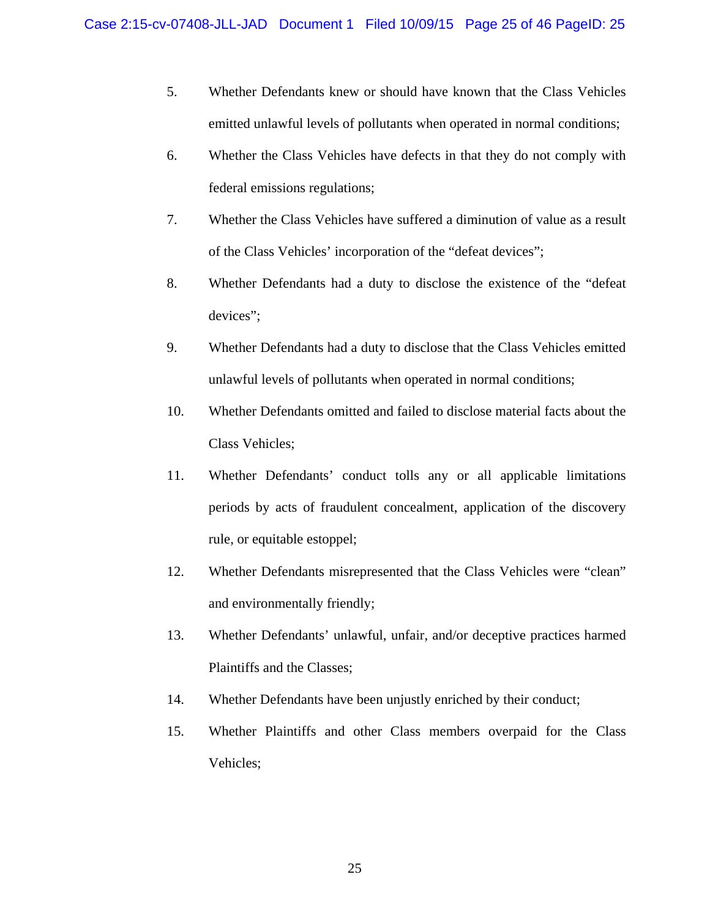- 5. Whether Defendants knew or should have known that the Class Vehicles emitted unlawful levels of pollutants when operated in normal conditions;
- 6. Whether the Class Vehicles have defects in that they do not comply with federal emissions regulations;
- 7. Whether the Class Vehicles have suffered a diminution of value as a result of the Class Vehicles' incorporation of the "defeat devices";
- 8. Whether Defendants had a duty to disclose the existence of the "defeat devices";
- 9. Whether Defendants had a duty to disclose that the Class Vehicles emitted unlawful levels of pollutants when operated in normal conditions;
- 10. Whether Defendants omitted and failed to disclose material facts about the Class Vehicles;
- 11. Whether Defendants' conduct tolls any or all applicable limitations periods by acts of fraudulent concealment, application of the discovery rule, or equitable estoppel;
- 12. Whether Defendants misrepresented that the Class Vehicles were "clean" and environmentally friendly;
- 13. Whether Defendants' unlawful, unfair, and/or deceptive practices harmed Plaintiffs and the Classes;
- 14. Whether Defendants have been unjustly enriched by their conduct;
- 15. Whether Plaintiffs and other Class members overpaid for the Class Vehicles;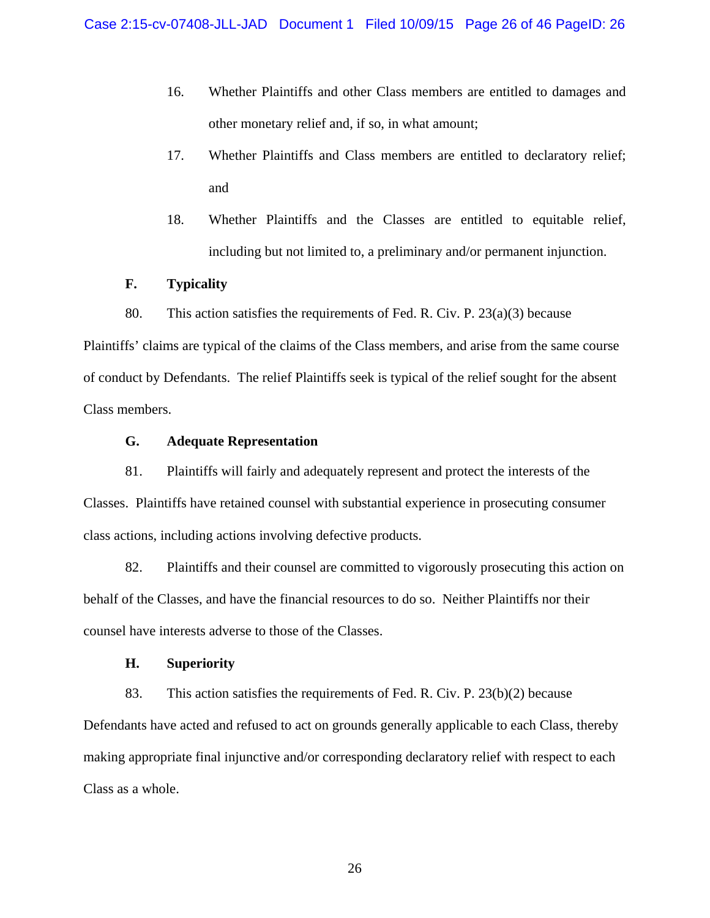- 16. Whether Plaintiffs and other Class members are entitled to damages and other monetary relief and, if so, in what amount;
- 17. Whether Plaintiffs and Class members are entitled to declaratory relief; and
- 18. Whether Plaintiffs and the Classes are entitled to equitable relief, including but not limited to, a preliminary and/or permanent injunction.

## **F. Typicality**

80. This action satisfies the requirements of Fed. R. Civ. P. 23(a)(3) because

Plaintiffs' claims are typical of the claims of the Class members, and arise from the same course of conduct by Defendants. The relief Plaintiffs seek is typical of the relief sought for the absent Class members.

## **G. Adequate Representation**

81. Plaintiffs will fairly and adequately represent and protect the interests of the Classes. Plaintiffs have retained counsel with substantial experience in prosecuting consumer class actions, including actions involving defective products.

82. Plaintiffs and their counsel are committed to vigorously prosecuting this action on behalf of the Classes, and have the financial resources to do so. Neither Plaintiffs nor their counsel have interests adverse to those of the Classes.

### **H. Superiority**

83. This action satisfies the requirements of Fed. R. Civ. P. 23(b)(2) because Defendants have acted and refused to act on grounds generally applicable to each Class, thereby making appropriate final injunctive and/or corresponding declaratory relief with respect to each Class as a whole.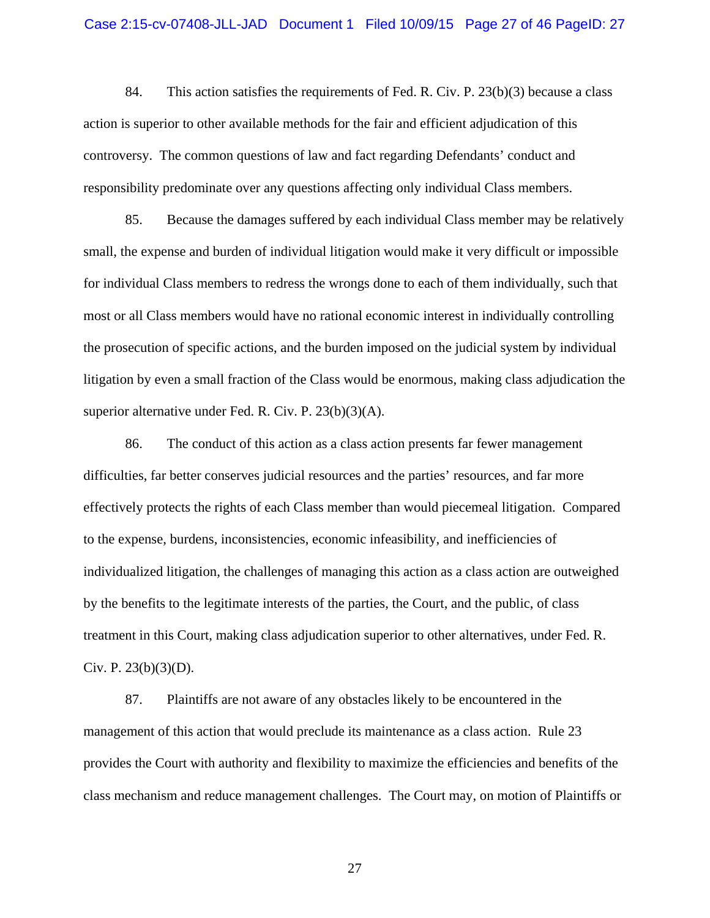#### Case 2:15-cv-07408-JLL-JAD Document 1 Filed 10/09/15 Page 27 of 46 PageID: 27

84. This action satisfies the requirements of Fed. R. Civ. P.  $23(b)(3)$  because a class action is superior to other available methods for the fair and efficient adjudication of this controversy. The common questions of law and fact regarding Defendants' conduct and responsibility predominate over any questions affecting only individual Class members.

85. Because the damages suffered by each individual Class member may be relatively small, the expense and burden of individual litigation would make it very difficult or impossible for individual Class members to redress the wrongs done to each of them individually, such that most or all Class members would have no rational economic interest in individually controlling the prosecution of specific actions, and the burden imposed on the judicial system by individual litigation by even a small fraction of the Class would be enormous, making class adjudication the superior alternative under Fed. R. Civ. P. 23(b)(3)(A).

86. The conduct of this action as a class action presents far fewer management difficulties, far better conserves judicial resources and the parties' resources, and far more effectively protects the rights of each Class member than would piecemeal litigation. Compared to the expense, burdens, inconsistencies, economic infeasibility, and inefficiencies of individualized litigation, the challenges of managing this action as a class action are outweighed by the benefits to the legitimate interests of the parties, the Court, and the public, of class treatment in this Court, making class adjudication superior to other alternatives, under Fed. R. Civ. P.  $23(b)(3)(D)$ .

87. Plaintiffs are not aware of any obstacles likely to be encountered in the management of this action that would preclude its maintenance as a class action. Rule 23 provides the Court with authority and flexibility to maximize the efficiencies and benefits of the class mechanism and reduce management challenges. The Court may, on motion of Plaintiffs or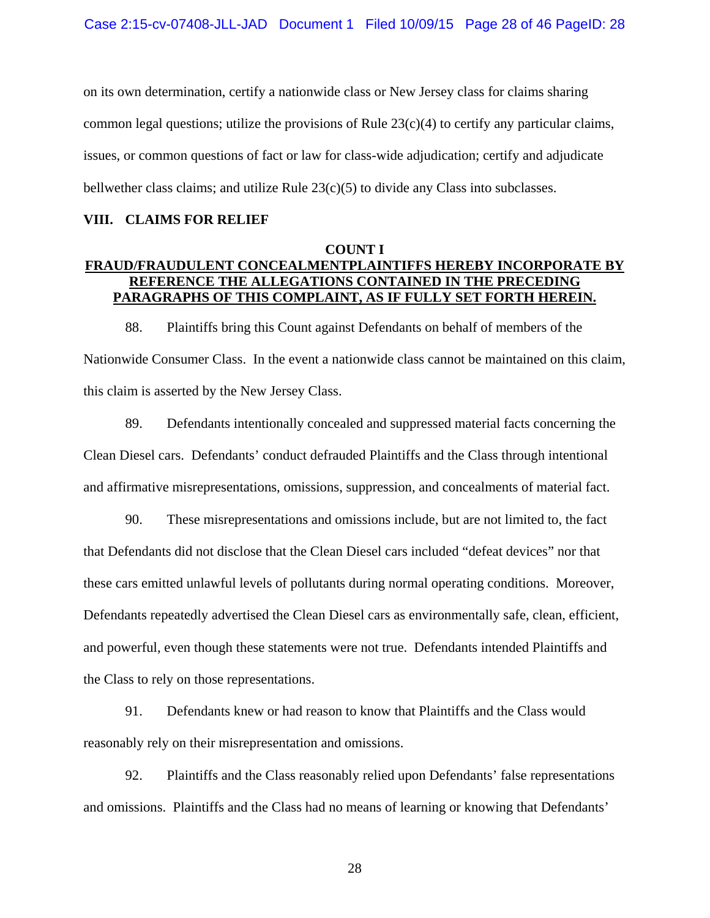on its own determination, certify a nationwide class or New Jersey class for claims sharing common legal questions; utilize the provisions of Rule 23(c)(4) to certify any particular claims, issues, or common questions of fact or law for class-wide adjudication; certify and adjudicate bellwether class claims; and utilize Rule 23(c)(5) to divide any Class into subclasses.

#### **VIII. CLAIMS FOR RELIEF**

## **COUNT I FRAUD/FRAUDULENT CONCEALMENTPLAINTIFFS HEREBY INCORPORATE BY REFERENCE THE ALLEGATIONS CONTAINED IN THE PRECEDING PARAGRAPHS OF THIS COMPLAINT, AS IF FULLY SET FORTH HEREIN.**

88. Plaintiffs bring this Count against Defendants on behalf of members of the Nationwide Consumer Class. In the event a nationwide class cannot be maintained on this claim, this claim is asserted by the New Jersey Class.

89. Defendants intentionally concealed and suppressed material facts concerning the Clean Diesel cars. Defendants' conduct defrauded Plaintiffs and the Class through intentional and affirmative misrepresentations, omissions, suppression, and concealments of material fact.

90. These misrepresentations and omissions include, but are not limited to, the fact that Defendants did not disclose that the Clean Diesel cars included "defeat devices" nor that these cars emitted unlawful levels of pollutants during normal operating conditions. Moreover, Defendants repeatedly advertised the Clean Diesel cars as environmentally safe, clean, efficient, and powerful, even though these statements were not true. Defendants intended Plaintiffs and the Class to rely on those representations.

91. Defendants knew or had reason to know that Plaintiffs and the Class would reasonably rely on their misrepresentation and omissions.

92. Plaintiffs and the Class reasonably relied upon Defendants' false representations and omissions. Plaintiffs and the Class had no means of learning or knowing that Defendants'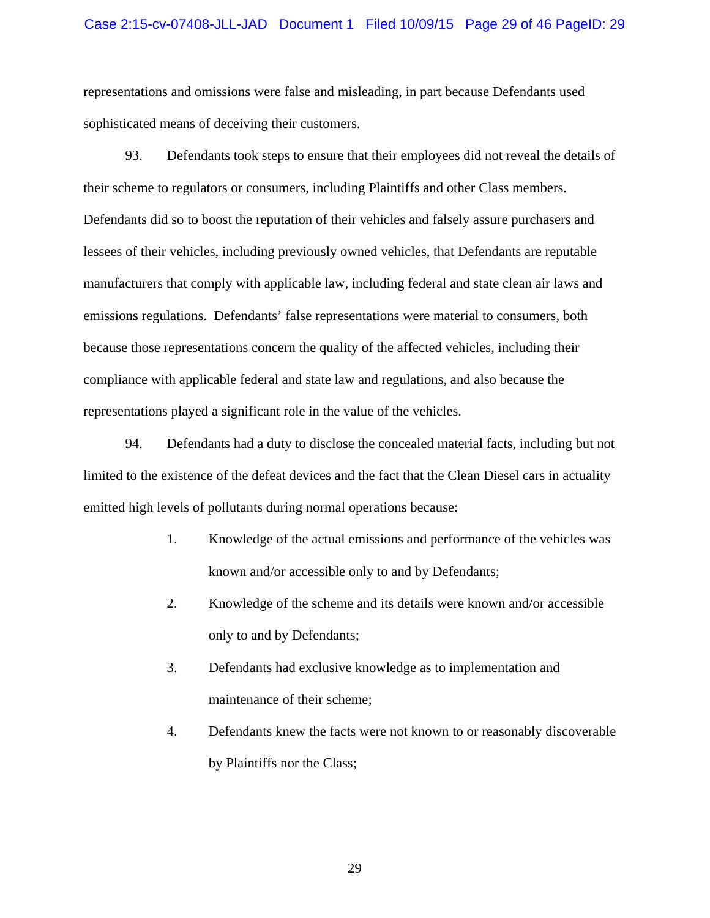### Case 2:15-cv-07408-JLL-JAD Document 1 Filed 10/09/15 Page 29 of 46 PageID: 29

representations and omissions were false and misleading, in part because Defendants used sophisticated means of deceiving their customers.

93. Defendants took steps to ensure that their employees did not reveal the details of their scheme to regulators or consumers, including Plaintiffs and other Class members. Defendants did so to boost the reputation of their vehicles and falsely assure purchasers and lessees of their vehicles, including previously owned vehicles, that Defendants are reputable manufacturers that comply with applicable law, including federal and state clean air laws and emissions regulations. Defendants' false representations were material to consumers, both because those representations concern the quality of the affected vehicles, including their compliance with applicable federal and state law and regulations, and also because the representations played a significant role in the value of the vehicles.

94. Defendants had a duty to disclose the concealed material facts, including but not limited to the existence of the defeat devices and the fact that the Clean Diesel cars in actuality emitted high levels of pollutants during normal operations because:

- 1. Knowledge of the actual emissions and performance of the vehicles was known and/or accessible only to and by Defendants;
- 2. Knowledge of the scheme and its details were known and/or accessible only to and by Defendants;
- 3. Defendants had exclusive knowledge as to implementation and maintenance of their scheme;
- 4. Defendants knew the facts were not known to or reasonably discoverable by Plaintiffs nor the Class;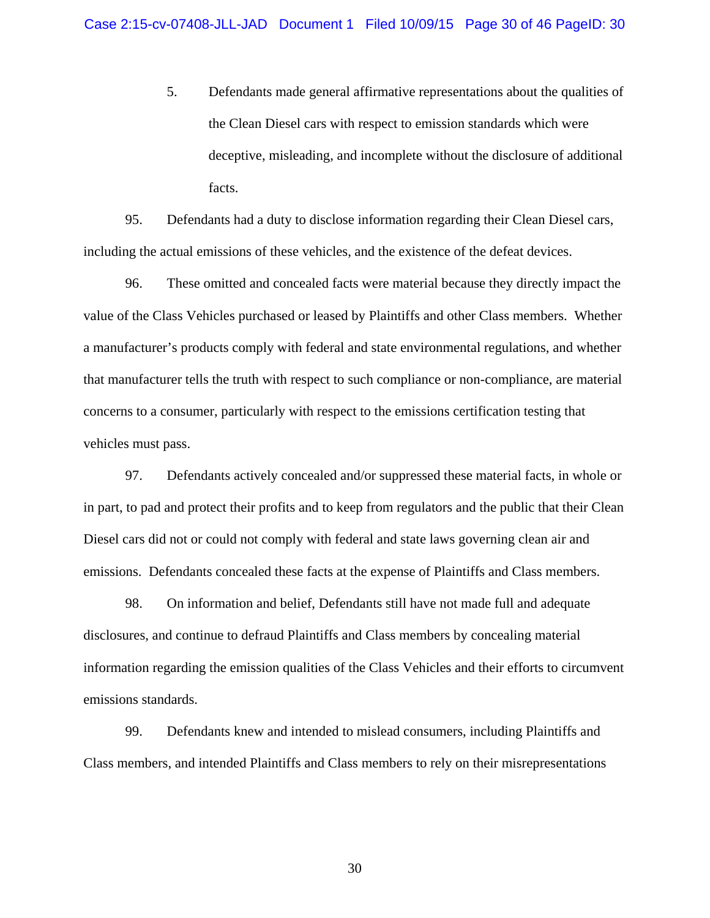5. Defendants made general affirmative representations about the qualities of the Clean Diesel cars with respect to emission standards which were deceptive, misleading, and incomplete without the disclosure of additional facts.

95. Defendants had a duty to disclose information regarding their Clean Diesel cars, including the actual emissions of these vehicles, and the existence of the defeat devices.

96. These omitted and concealed facts were material because they directly impact the value of the Class Vehicles purchased or leased by Plaintiffs and other Class members. Whether a manufacturer's products comply with federal and state environmental regulations, and whether that manufacturer tells the truth with respect to such compliance or non-compliance, are material concerns to a consumer, particularly with respect to the emissions certification testing that vehicles must pass.

97. Defendants actively concealed and/or suppressed these material facts, in whole or in part, to pad and protect their profits and to keep from regulators and the public that their Clean Diesel cars did not or could not comply with federal and state laws governing clean air and emissions. Defendants concealed these facts at the expense of Plaintiffs and Class members.

98. On information and belief, Defendants still have not made full and adequate disclosures, and continue to defraud Plaintiffs and Class members by concealing material information regarding the emission qualities of the Class Vehicles and their efforts to circumvent emissions standards.

99. Defendants knew and intended to mislead consumers, including Plaintiffs and Class members, and intended Plaintiffs and Class members to rely on their misrepresentations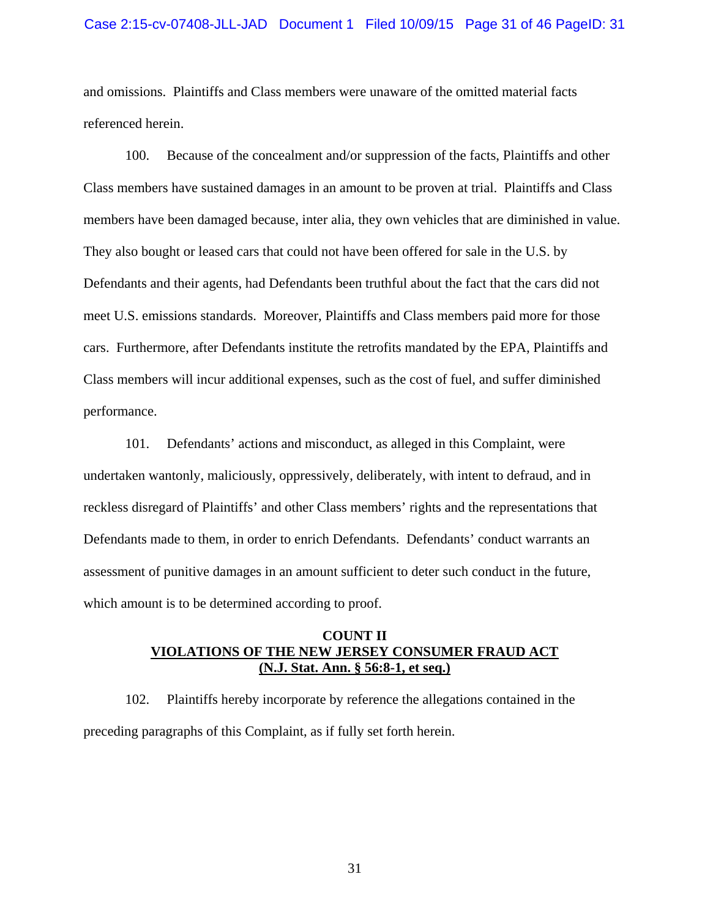#### Case 2:15-cv-07408-JLL-JAD Document 1 Filed 10/09/15 Page 31 of 46 PageID: 31

and omissions. Plaintiffs and Class members were unaware of the omitted material facts referenced herein.

100. Because of the concealment and/or suppression of the facts, Plaintiffs and other Class members have sustained damages in an amount to be proven at trial. Plaintiffs and Class members have been damaged because, inter alia, they own vehicles that are diminished in value. They also bought or leased cars that could not have been offered for sale in the U.S. by Defendants and their agents, had Defendants been truthful about the fact that the cars did not meet U.S. emissions standards. Moreover, Plaintiffs and Class members paid more for those cars. Furthermore, after Defendants institute the retrofits mandated by the EPA, Plaintiffs and Class members will incur additional expenses, such as the cost of fuel, and suffer diminished performance.

101. Defendants' actions and misconduct, as alleged in this Complaint, were undertaken wantonly, maliciously, oppressively, deliberately, with intent to defraud, and in reckless disregard of Plaintiffs' and other Class members' rights and the representations that Defendants made to them, in order to enrich Defendants. Defendants' conduct warrants an assessment of punitive damages in an amount sufficient to deter such conduct in the future, which amount is to be determined according to proof.

### **COUNT II VIOLATIONS OF THE NEW JERSEY CONSUMER FRAUD ACT (N.J. Stat. Ann. § 56:8-1, et seq.)**

102. Plaintiffs hereby incorporate by reference the allegations contained in the preceding paragraphs of this Complaint, as if fully set forth herein.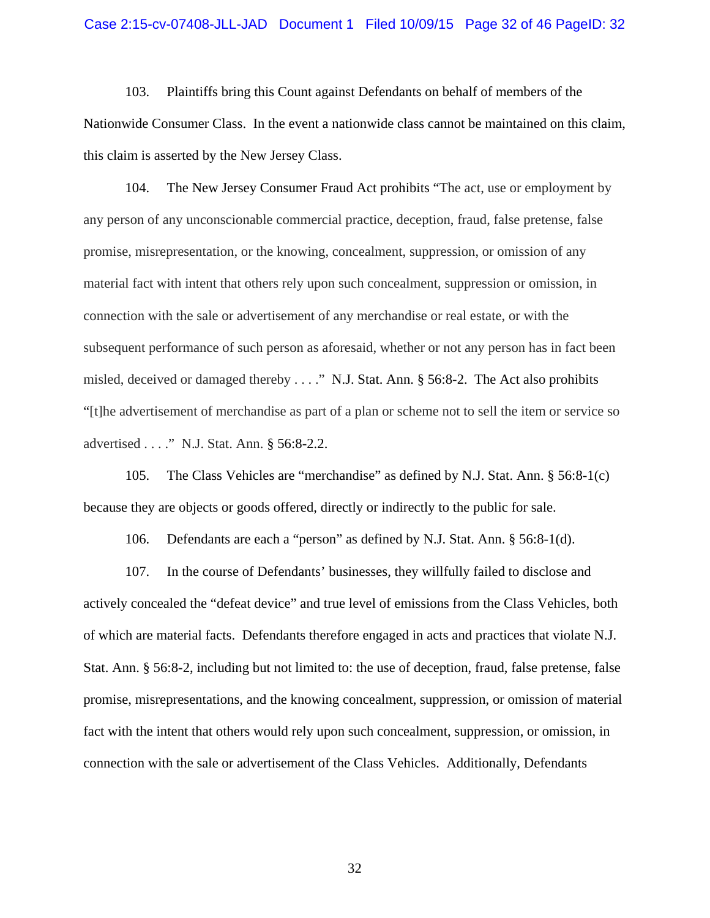#### Case 2:15-cv-07408-JLL-JAD Document 1 Filed 10/09/15 Page 32 of 46 PageID: 32

103. Plaintiffs bring this Count against Defendants on behalf of members of the Nationwide Consumer Class. In the event a nationwide class cannot be maintained on this claim, this claim is asserted by the New Jersey Class.

104. The New Jersey Consumer Fraud Act prohibits "The act, use or employment by any person of any unconscionable commercial practice, deception, fraud, false pretense, false promise, misrepresentation, or the knowing, concealment, suppression, or omission of any material fact with intent that others rely upon such concealment, suppression or omission, in connection with the sale or advertisement of any merchandise or real estate, or with the subsequent performance of such person as aforesaid, whether or not any person has in fact been misled, deceived or damaged thereby . . . ." N.J. Stat. Ann. § 56:8-2. The Act also prohibits "[t]he advertisement of merchandise as part of a plan or scheme not to sell the item or service so advertised . . . ." N.J. Stat. Ann. § 56:8-2.2.

105. The Class Vehicles are "merchandise" as defined by N.J. Stat. Ann. § 56:8-1(c) because they are objects or goods offered, directly or indirectly to the public for sale.

106. Defendants are each a "person" as defined by N.J. Stat. Ann. § 56:8-1(d).

107. In the course of Defendants' businesses, they willfully failed to disclose and actively concealed the "defeat device" and true level of emissions from the Class Vehicles, both of which are material facts. Defendants therefore engaged in acts and practices that violate N.J. Stat. Ann. § 56:8-2, including but not limited to: the use of deception, fraud, false pretense, false promise, misrepresentations, and the knowing concealment, suppression, or omission of material fact with the intent that others would rely upon such concealment, suppression, or omission, in connection with the sale or advertisement of the Class Vehicles. Additionally, Defendants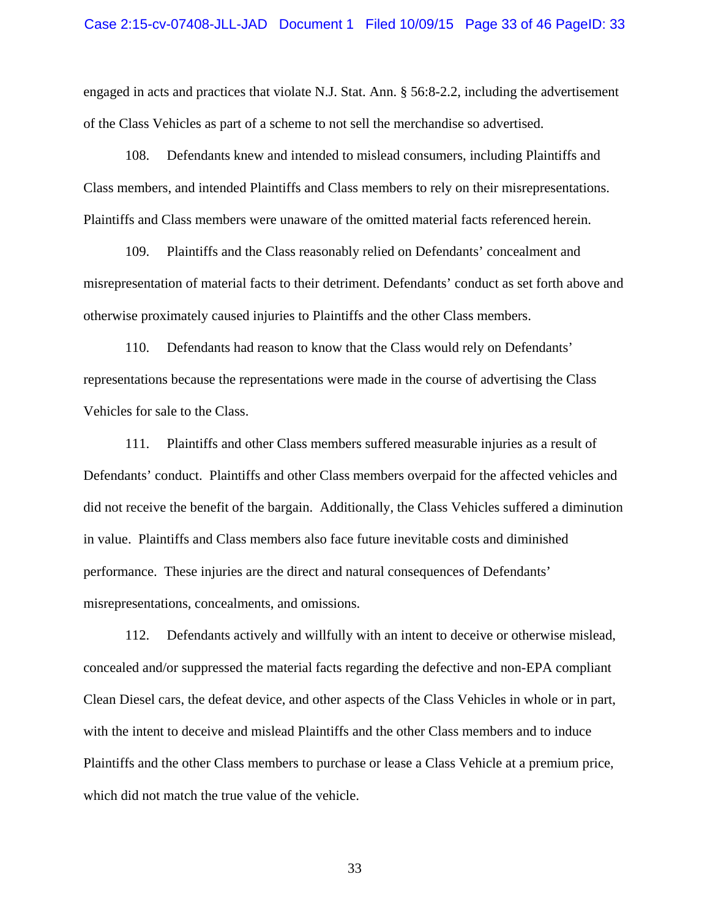engaged in acts and practices that violate N.J. Stat. Ann. § 56:8-2.2, including the advertisement of the Class Vehicles as part of a scheme to not sell the merchandise so advertised.

108. Defendants knew and intended to mislead consumers, including Plaintiffs and Class members, and intended Plaintiffs and Class members to rely on their misrepresentations. Plaintiffs and Class members were unaware of the omitted material facts referenced herein.

109. Plaintiffs and the Class reasonably relied on Defendants' concealment and misrepresentation of material facts to their detriment. Defendants' conduct as set forth above and otherwise proximately caused injuries to Plaintiffs and the other Class members.

110. Defendants had reason to know that the Class would rely on Defendants' representations because the representations were made in the course of advertising the Class Vehicles for sale to the Class.

111. Plaintiffs and other Class members suffered measurable injuries as a result of Defendants' conduct. Plaintiffs and other Class members overpaid for the affected vehicles and did not receive the benefit of the bargain. Additionally, the Class Vehicles suffered a diminution in value. Plaintiffs and Class members also face future inevitable costs and diminished performance. These injuries are the direct and natural consequences of Defendants' misrepresentations, concealments, and omissions.

112. Defendants actively and willfully with an intent to deceive or otherwise mislead, concealed and/or suppressed the material facts regarding the defective and non-EPA compliant Clean Diesel cars, the defeat device, and other aspects of the Class Vehicles in whole or in part, with the intent to deceive and mislead Plaintiffs and the other Class members and to induce Plaintiffs and the other Class members to purchase or lease a Class Vehicle at a premium price, which did not match the true value of the vehicle.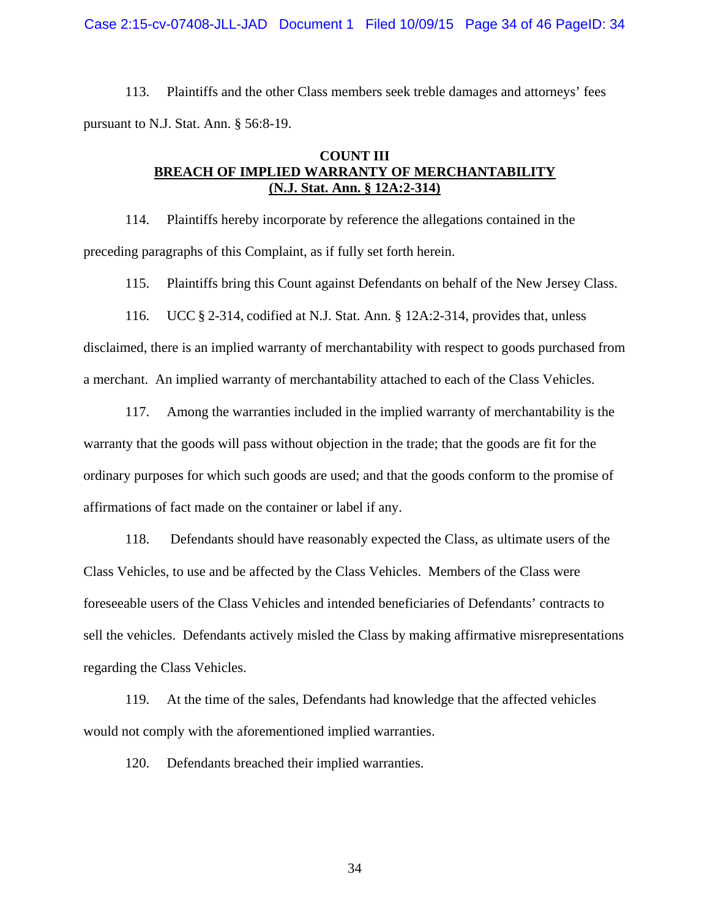Case 2:15-cv-07408-JLL-JAD Document 1 Filed 10/09/15 Page 34 of 46 PageID: 34

113. Plaintiffs and the other Class members seek treble damages and attorneys' fees pursuant to N.J. Stat. Ann. § 56:8-19.

## **COUNT III BREACH OF IMPLIED WARRANTY OF MERCHANTABILITY (N.J. Stat. Ann. § 12A:2-314)**

114. Plaintiffs hereby incorporate by reference the allegations contained in the preceding paragraphs of this Complaint, as if fully set forth herein.

115. Plaintiffs bring this Count against Defendants on behalf of the New Jersey Class.

116. UCC § 2-314, codified at N.J. Stat. Ann. § 12A:2-314, provides that, unless disclaimed, there is an implied warranty of merchantability with respect to goods purchased from a merchant. An implied warranty of merchantability attached to each of the Class Vehicles.

117. Among the warranties included in the implied warranty of merchantability is the warranty that the goods will pass without objection in the trade; that the goods are fit for the ordinary purposes for which such goods are used; and that the goods conform to the promise of affirmations of fact made on the container or label if any.

118. Defendants should have reasonably expected the Class, as ultimate users of the Class Vehicles, to use and be affected by the Class Vehicles. Members of the Class were foreseeable users of the Class Vehicles and intended beneficiaries of Defendants' contracts to sell the vehicles. Defendants actively misled the Class by making affirmative misrepresentations regarding the Class Vehicles.

119. At the time of the sales, Defendants had knowledge that the affected vehicles would not comply with the aforementioned implied warranties.

120. Defendants breached their implied warranties.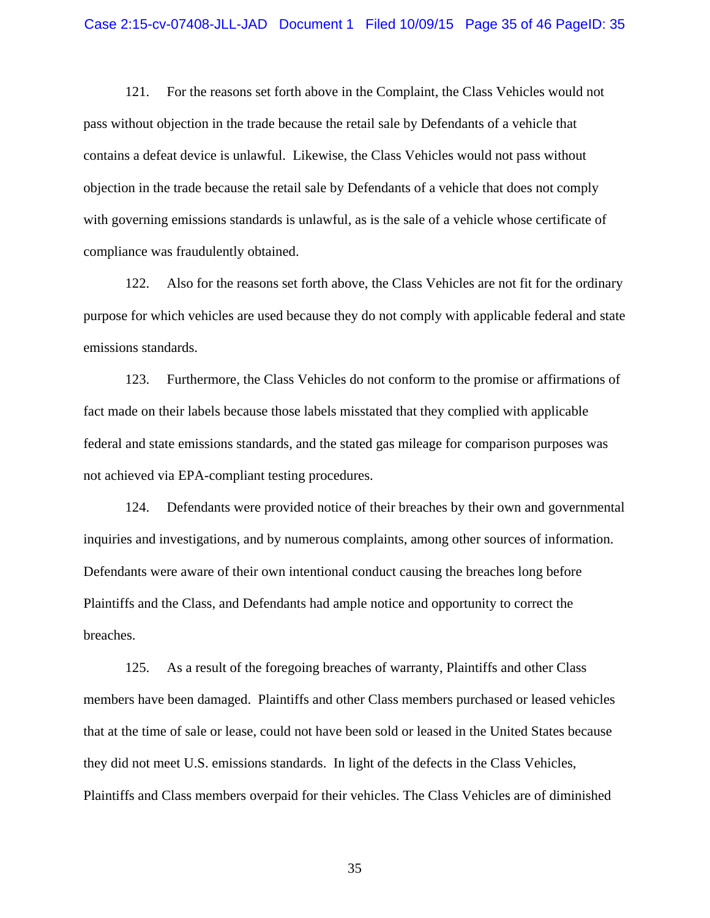121. For the reasons set forth above in the Complaint, the Class Vehicles would not pass without objection in the trade because the retail sale by Defendants of a vehicle that contains a defeat device is unlawful. Likewise, the Class Vehicles would not pass without objection in the trade because the retail sale by Defendants of a vehicle that does not comply with governing emissions standards is unlawful, as is the sale of a vehicle whose certificate of compliance was fraudulently obtained.

122. Also for the reasons set forth above, the Class Vehicles are not fit for the ordinary purpose for which vehicles are used because they do not comply with applicable federal and state emissions standards.

123. Furthermore, the Class Vehicles do not conform to the promise or affirmations of fact made on their labels because those labels misstated that they complied with applicable federal and state emissions standards, and the stated gas mileage for comparison purposes was not achieved via EPA-compliant testing procedures.

124. Defendants were provided notice of their breaches by their own and governmental inquiries and investigations, and by numerous complaints, among other sources of information. Defendants were aware of their own intentional conduct causing the breaches long before Plaintiffs and the Class, and Defendants had ample notice and opportunity to correct the breaches.

125. As a result of the foregoing breaches of warranty, Plaintiffs and other Class members have been damaged. Plaintiffs and other Class members purchased or leased vehicles that at the time of sale or lease, could not have been sold or leased in the United States because they did not meet U.S. emissions standards. In light of the defects in the Class Vehicles, Plaintiffs and Class members overpaid for their vehicles. The Class Vehicles are of diminished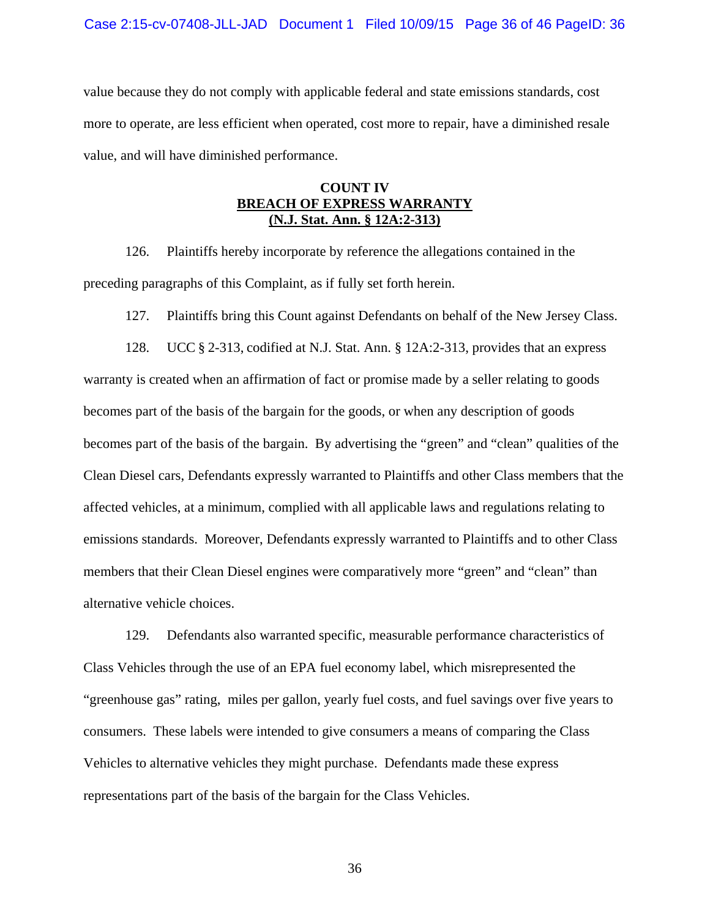value because they do not comply with applicable federal and state emissions standards, cost more to operate, are less efficient when operated, cost more to repair, have a diminished resale value, and will have diminished performance.

### **COUNT IV BREACH OF EXPRESS WARRANTY (N.J. Stat. Ann. § 12A:2-313)**

126. Plaintiffs hereby incorporate by reference the allegations contained in the preceding paragraphs of this Complaint, as if fully set forth herein.

127. Plaintiffs bring this Count against Defendants on behalf of the New Jersey Class.

128. UCC § 2-313, codified at N.J. Stat. Ann. § 12A:2-313, provides that an express warranty is created when an affirmation of fact or promise made by a seller relating to goods becomes part of the basis of the bargain for the goods, or when any description of goods becomes part of the basis of the bargain. By advertising the "green" and "clean" qualities of the Clean Diesel cars, Defendants expressly warranted to Plaintiffs and other Class members that the affected vehicles, at a minimum, complied with all applicable laws and regulations relating to emissions standards. Moreover, Defendants expressly warranted to Plaintiffs and to other Class members that their Clean Diesel engines were comparatively more "green" and "clean" than alternative vehicle choices.

129. Defendants also warranted specific, measurable performance characteristics of Class Vehicles through the use of an EPA fuel economy label, which misrepresented the "greenhouse gas" rating, miles per gallon, yearly fuel costs, and fuel savings over five years to consumers. These labels were intended to give consumers a means of comparing the Class Vehicles to alternative vehicles they might purchase. Defendants made these express representations part of the basis of the bargain for the Class Vehicles.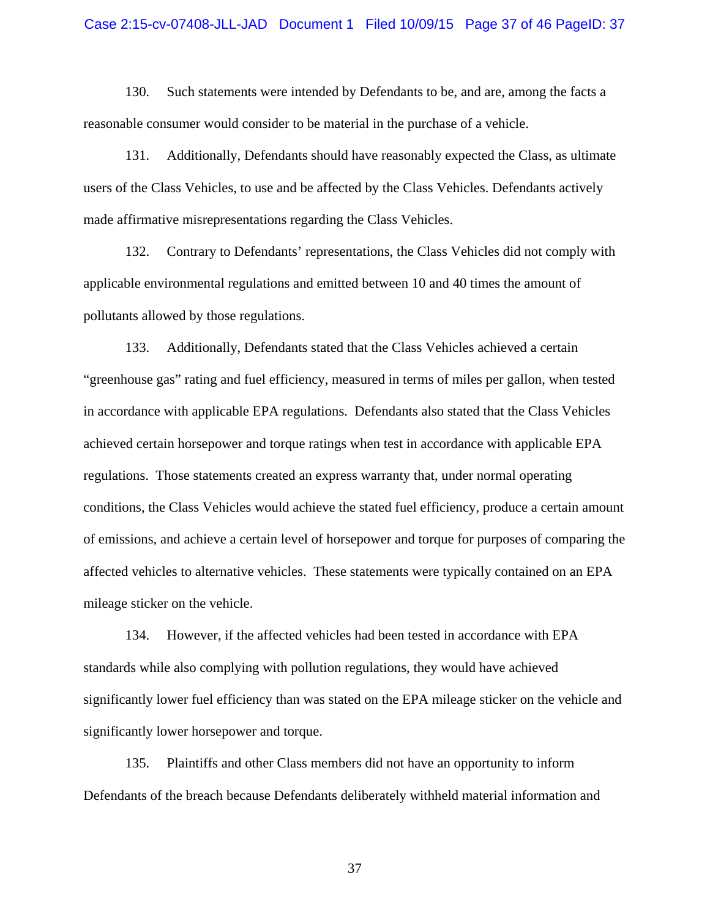#### Case 2:15-cv-07408-JLL-JAD Document 1 Filed 10/09/15 Page 37 of 46 PageID: 37

130. Such statements were intended by Defendants to be, and are, among the facts a reasonable consumer would consider to be material in the purchase of a vehicle.

131. Additionally, Defendants should have reasonably expected the Class, as ultimate users of the Class Vehicles, to use and be affected by the Class Vehicles. Defendants actively made affirmative misrepresentations regarding the Class Vehicles.

132. Contrary to Defendants' representations, the Class Vehicles did not comply with applicable environmental regulations and emitted between 10 and 40 times the amount of pollutants allowed by those regulations.

133. Additionally, Defendants stated that the Class Vehicles achieved a certain "greenhouse gas" rating and fuel efficiency, measured in terms of miles per gallon, when tested in accordance with applicable EPA regulations. Defendants also stated that the Class Vehicles achieved certain horsepower and torque ratings when test in accordance with applicable EPA regulations. Those statements created an express warranty that, under normal operating conditions, the Class Vehicles would achieve the stated fuel efficiency, produce a certain amount of emissions, and achieve a certain level of horsepower and torque for purposes of comparing the affected vehicles to alternative vehicles. These statements were typically contained on an EPA mileage sticker on the vehicle.

134. However, if the affected vehicles had been tested in accordance with EPA standards while also complying with pollution regulations, they would have achieved significantly lower fuel efficiency than was stated on the EPA mileage sticker on the vehicle and significantly lower horsepower and torque.

135. Plaintiffs and other Class members did not have an opportunity to inform Defendants of the breach because Defendants deliberately withheld material information and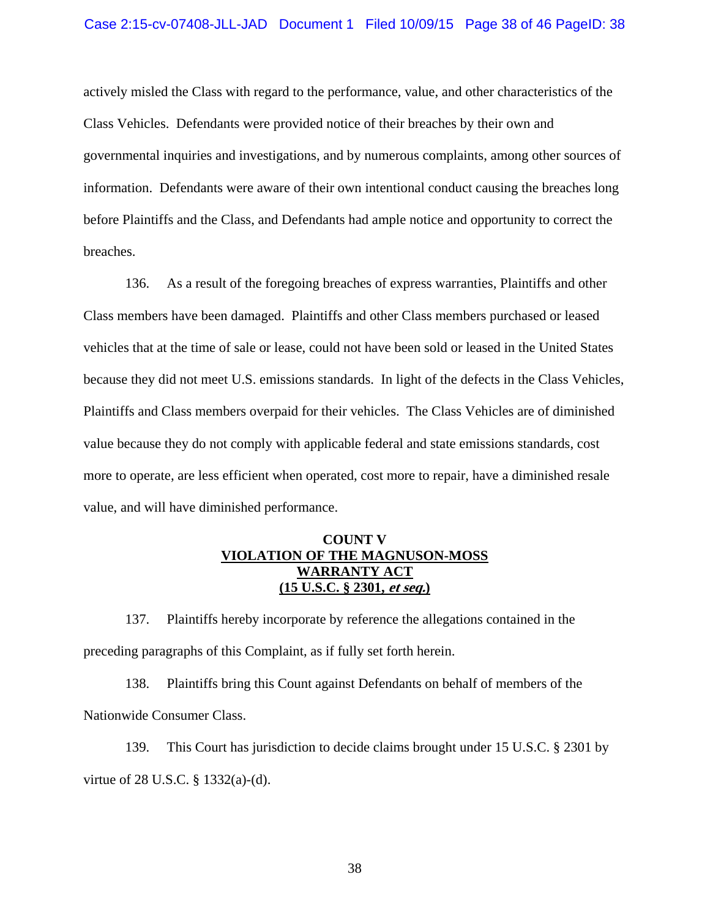#### Case 2:15-cv-07408-JLL-JAD Document 1 Filed 10/09/15 Page 38 of 46 PageID: 38

actively misled the Class with regard to the performance, value, and other characteristics of the Class Vehicles. Defendants were provided notice of their breaches by their own and governmental inquiries and investigations, and by numerous complaints, among other sources of information. Defendants were aware of their own intentional conduct causing the breaches long before Plaintiffs and the Class, and Defendants had ample notice and opportunity to correct the breaches.

136. As a result of the foregoing breaches of express warranties, Plaintiffs and other Class members have been damaged. Plaintiffs and other Class members purchased or leased vehicles that at the time of sale or lease, could not have been sold or leased in the United States because they did not meet U.S. emissions standards. In light of the defects in the Class Vehicles, Plaintiffs and Class members overpaid for their vehicles. The Class Vehicles are of diminished value because they do not comply with applicable federal and state emissions standards, cost more to operate, are less efficient when operated, cost more to repair, have a diminished resale value, and will have diminished performance.

## **COUNT V VIOLATION OF THE MAGNUSON-MOSS WARRANTY ACT (15 U.S.C. § 2301, et seq.)**

137. Plaintiffs hereby incorporate by reference the allegations contained in the preceding paragraphs of this Complaint, as if fully set forth herein.

138. Plaintiffs bring this Count against Defendants on behalf of members of the Nationwide Consumer Class.

139. This Court has jurisdiction to decide claims brought under 15 U.S.C. § 2301 by virtue of 28 U.S.C. § 1332(a)-(d).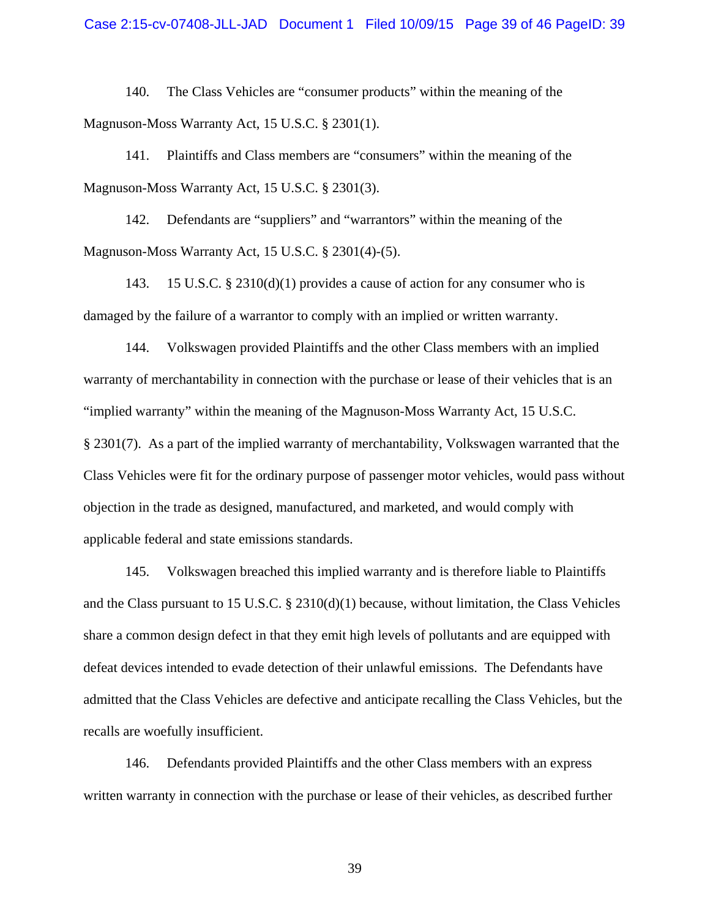140. The Class Vehicles are "consumer products" within the meaning of the Magnuson-Moss Warranty Act, 15 U.S.C. § 2301(1).

141. Plaintiffs and Class members are "consumers" within the meaning of the Magnuson-Moss Warranty Act, 15 U.S.C. § 2301(3).

142. Defendants are "suppliers" and "warrantors" within the meaning of the Magnuson-Moss Warranty Act, 15 U.S.C. § 2301(4)-(5).

143. 15 U.S.C. § 2310(d)(1) provides a cause of action for any consumer who is damaged by the failure of a warrantor to comply with an implied or written warranty.

144. Volkswagen provided Plaintiffs and the other Class members with an implied warranty of merchantability in connection with the purchase or lease of their vehicles that is an "implied warranty" within the meaning of the Magnuson-Moss Warranty Act, 15 U.S.C. § 2301(7). As a part of the implied warranty of merchantability, Volkswagen warranted that the Class Vehicles were fit for the ordinary purpose of passenger motor vehicles, would pass without objection in the trade as designed, manufactured, and marketed, and would comply with applicable federal and state emissions standards.

145. Volkswagen breached this implied warranty and is therefore liable to Plaintiffs and the Class pursuant to 15 U.S.C. § 2310(d)(1) because, without limitation, the Class Vehicles share a common design defect in that they emit high levels of pollutants and are equipped with defeat devices intended to evade detection of their unlawful emissions. The Defendants have admitted that the Class Vehicles are defective and anticipate recalling the Class Vehicles, but the recalls are woefully insufficient.

146. Defendants provided Plaintiffs and the other Class members with an express written warranty in connection with the purchase or lease of their vehicles, as described further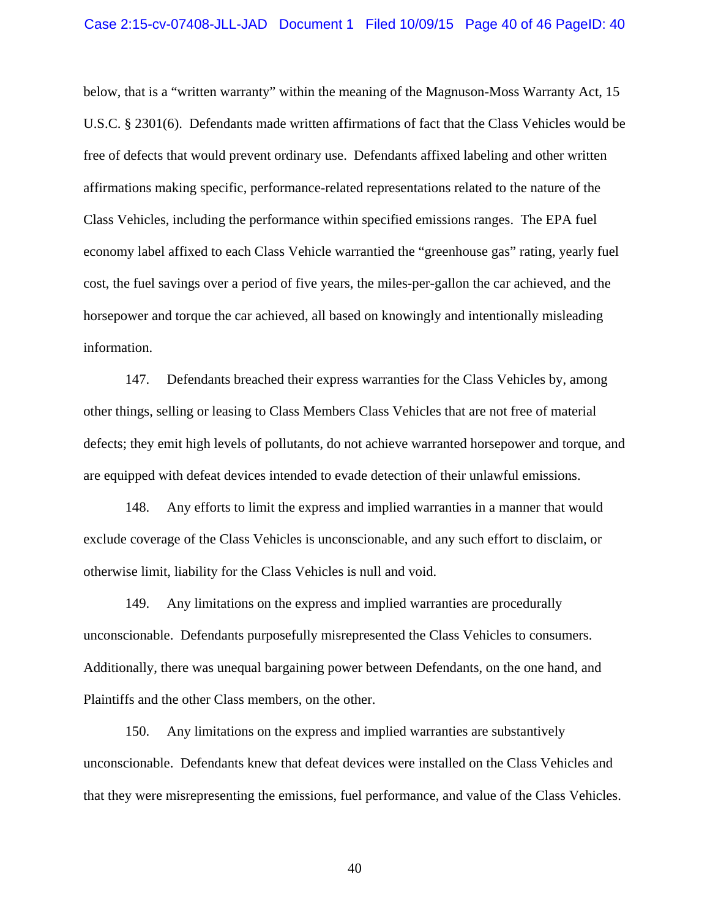below, that is a "written warranty" within the meaning of the Magnuson-Moss Warranty Act, 15 U.S.C. § 2301(6). Defendants made written affirmations of fact that the Class Vehicles would be free of defects that would prevent ordinary use. Defendants affixed labeling and other written affirmations making specific, performance-related representations related to the nature of the Class Vehicles, including the performance within specified emissions ranges. The EPA fuel economy label affixed to each Class Vehicle warrantied the "greenhouse gas" rating, yearly fuel cost, the fuel savings over a period of five years, the miles-per-gallon the car achieved, and the horsepower and torque the car achieved, all based on knowingly and intentionally misleading information.

147. Defendants breached their express warranties for the Class Vehicles by, among other things, selling or leasing to Class Members Class Vehicles that are not free of material defects; they emit high levels of pollutants, do not achieve warranted horsepower and torque, and are equipped with defeat devices intended to evade detection of their unlawful emissions.

148. Any efforts to limit the express and implied warranties in a manner that would exclude coverage of the Class Vehicles is unconscionable, and any such effort to disclaim, or otherwise limit, liability for the Class Vehicles is null and void.

149. Any limitations on the express and implied warranties are procedurally unconscionable. Defendants purposefully misrepresented the Class Vehicles to consumers. Additionally, there was unequal bargaining power between Defendants, on the one hand, and Plaintiffs and the other Class members, on the other.

150. Any limitations on the express and implied warranties are substantively unconscionable. Defendants knew that defeat devices were installed on the Class Vehicles and that they were misrepresenting the emissions, fuel performance, and value of the Class Vehicles.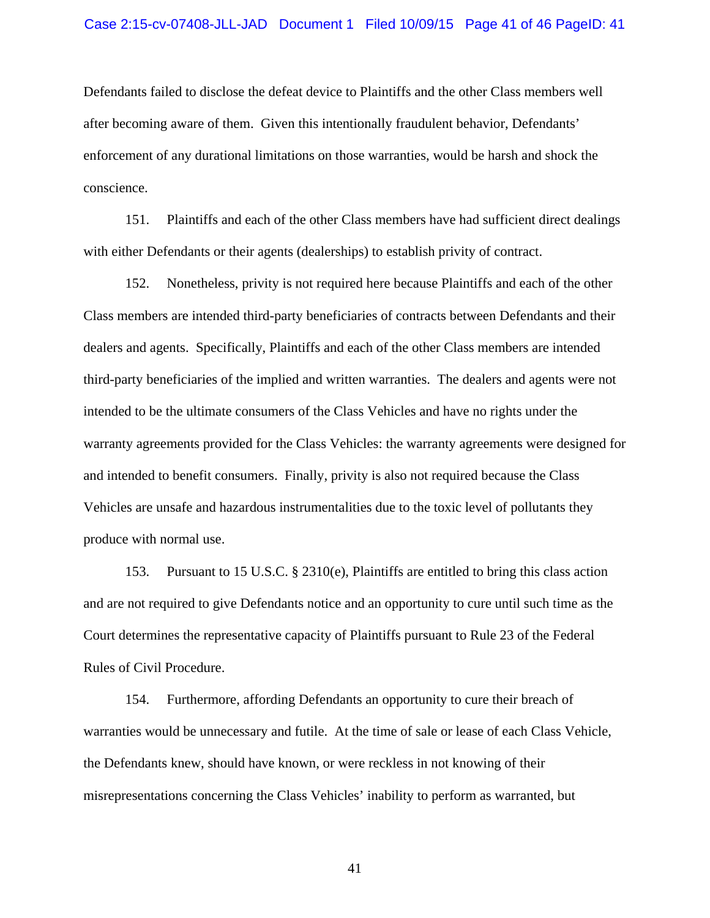#### Case 2:15-cv-07408-JLL-JAD Document 1 Filed 10/09/15 Page 41 of 46 PageID: 41

Defendants failed to disclose the defeat device to Plaintiffs and the other Class members well after becoming aware of them. Given this intentionally fraudulent behavior, Defendants' enforcement of any durational limitations on those warranties, would be harsh and shock the conscience.

151. Plaintiffs and each of the other Class members have had sufficient direct dealings with either Defendants or their agents (dealerships) to establish privity of contract.

152. Nonetheless, privity is not required here because Plaintiffs and each of the other Class members are intended third-party beneficiaries of contracts between Defendants and their dealers and agents. Specifically, Plaintiffs and each of the other Class members are intended third-party beneficiaries of the implied and written warranties. The dealers and agents were not intended to be the ultimate consumers of the Class Vehicles and have no rights under the warranty agreements provided for the Class Vehicles: the warranty agreements were designed for and intended to benefit consumers. Finally, privity is also not required because the Class Vehicles are unsafe and hazardous instrumentalities due to the toxic level of pollutants they produce with normal use.

153. Pursuant to 15 U.S.C. § 2310(e), Plaintiffs are entitled to bring this class action and are not required to give Defendants notice and an opportunity to cure until such time as the Court determines the representative capacity of Plaintiffs pursuant to Rule 23 of the Federal Rules of Civil Procedure.

154. Furthermore, affording Defendants an opportunity to cure their breach of warranties would be unnecessary and futile. At the time of sale or lease of each Class Vehicle, the Defendants knew, should have known, or were reckless in not knowing of their misrepresentations concerning the Class Vehicles' inability to perform as warranted, but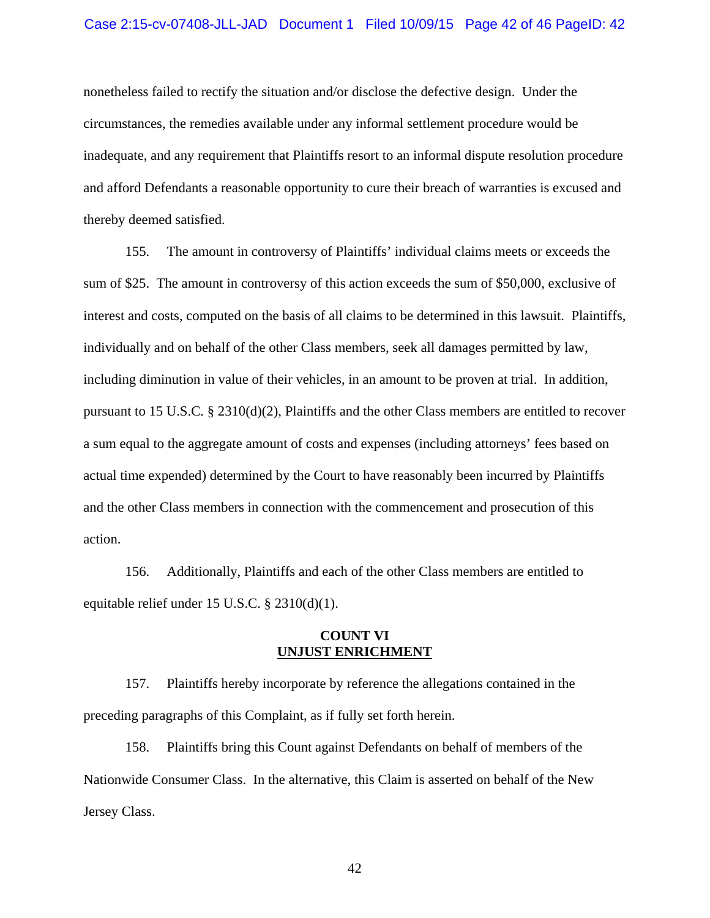#### Case 2:15-cv-07408-JLL-JAD Document 1 Filed 10/09/15 Page 42 of 46 PageID: 42

nonetheless failed to rectify the situation and/or disclose the defective design. Under the circumstances, the remedies available under any informal settlement procedure would be inadequate, and any requirement that Plaintiffs resort to an informal dispute resolution procedure and afford Defendants a reasonable opportunity to cure their breach of warranties is excused and thereby deemed satisfied.

155. The amount in controversy of Plaintiffs' individual claims meets or exceeds the sum of \$25. The amount in controversy of this action exceeds the sum of \$50,000, exclusive of interest and costs, computed on the basis of all claims to be determined in this lawsuit. Plaintiffs, individually and on behalf of the other Class members, seek all damages permitted by law, including diminution in value of their vehicles, in an amount to be proven at trial. In addition, pursuant to 15 U.S.C. § 2310(d)(2), Plaintiffs and the other Class members are entitled to recover a sum equal to the aggregate amount of costs and expenses (including attorneys' fees based on actual time expended) determined by the Court to have reasonably been incurred by Plaintiffs and the other Class members in connection with the commencement and prosecution of this action.

156. Additionally, Plaintiffs and each of the other Class members are entitled to equitable relief under 15 U.S.C. § 2310(d)(1).

### **COUNT VI UNJUST ENRICHMENT**

157. Plaintiffs hereby incorporate by reference the allegations contained in the preceding paragraphs of this Complaint, as if fully set forth herein.

158. Plaintiffs bring this Count against Defendants on behalf of members of the Nationwide Consumer Class. In the alternative, this Claim is asserted on behalf of the New Jersey Class.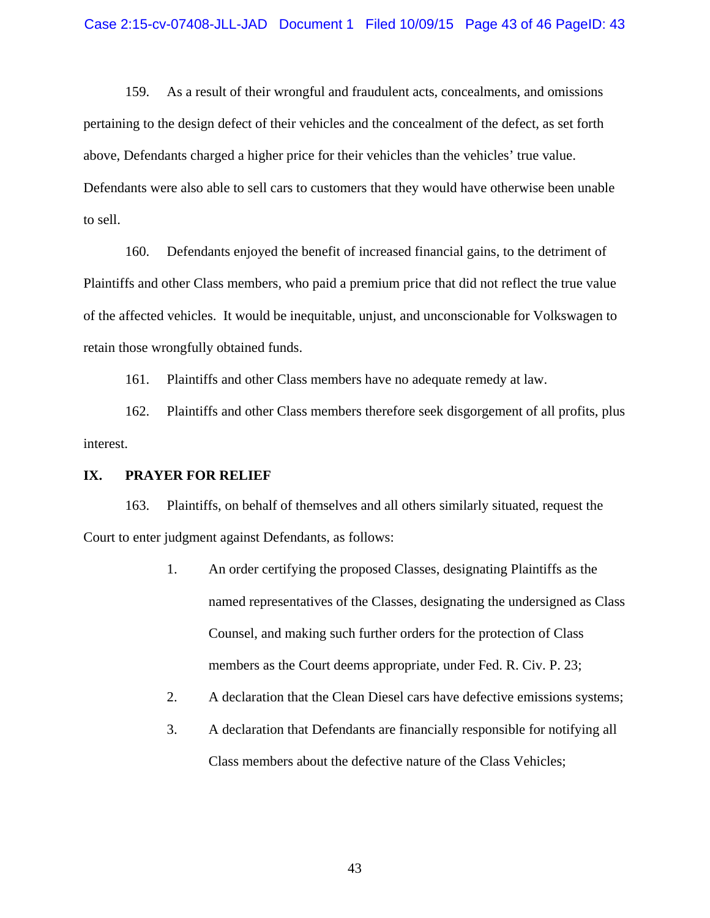159. As a result of their wrongful and fraudulent acts, concealments, and omissions pertaining to the design defect of their vehicles and the concealment of the defect, as set forth above, Defendants charged a higher price for their vehicles than the vehicles' true value. Defendants were also able to sell cars to customers that they would have otherwise been unable to sell.

160. Defendants enjoyed the benefit of increased financial gains, to the detriment of Plaintiffs and other Class members, who paid a premium price that did not reflect the true value of the affected vehicles. It would be inequitable, unjust, and unconscionable for Volkswagen to retain those wrongfully obtained funds.

161. Plaintiffs and other Class members have no adequate remedy at law.

162. Plaintiffs and other Class members therefore seek disgorgement of all profits, plus interest.

#### **IX. PRAYER FOR RELIEF**

163. Plaintiffs, on behalf of themselves and all others similarly situated, request the Court to enter judgment against Defendants, as follows:

- 1. An order certifying the proposed Classes, designating Plaintiffs as the named representatives of the Classes, designating the undersigned as Class Counsel, and making such further orders for the protection of Class members as the Court deems appropriate, under Fed. R. Civ. P. 23;
- 2. A declaration that the Clean Diesel cars have defective emissions systems;
- 3. A declaration that Defendants are financially responsible for notifying all Class members about the defective nature of the Class Vehicles;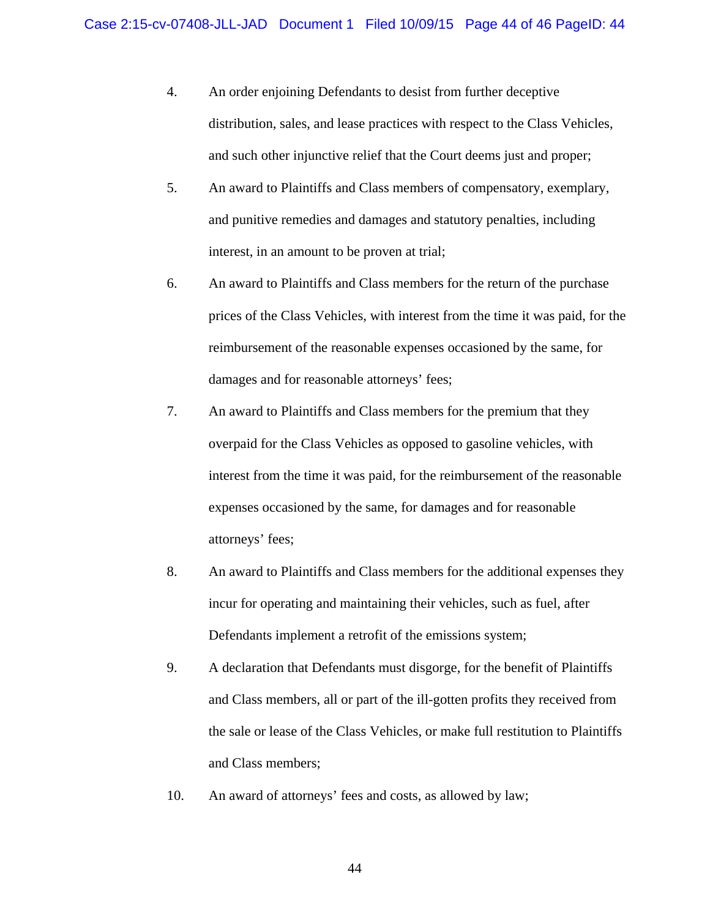- 4. An order enjoining Defendants to desist from further deceptive distribution, sales, and lease practices with respect to the Class Vehicles, and such other injunctive relief that the Court deems just and proper;
- 5. An award to Plaintiffs and Class members of compensatory, exemplary, and punitive remedies and damages and statutory penalties, including interest, in an amount to be proven at trial;
- 6. An award to Plaintiffs and Class members for the return of the purchase prices of the Class Vehicles, with interest from the time it was paid, for the reimbursement of the reasonable expenses occasioned by the same, for damages and for reasonable attorneys' fees;
- 7. An award to Plaintiffs and Class members for the premium that they overpaid for the Class Vehicles as opposed to gasoline vehicles, with interest from the time it was paid, for the reimbursement of the reasonable expenses occasioned by the same, for damages and for reasonable attorneys' fees;
- 8. An award to Plaintiffs and Class members for the additional expenses they incur for operating and maintaining their vehicles, such as fuel, after Defendants implement a retrofit of the emissions system;
- 9. A declaration that Defendants must disgorge, for the benefit of Plaintiffs and Class members, all or part of the ill-gotten profits they received from the sale or lease of the Class Vehicles, or make full restitution to Plaintiffs and Class members;
- 10. An award of attorneys' fees and costs, as allowed by law;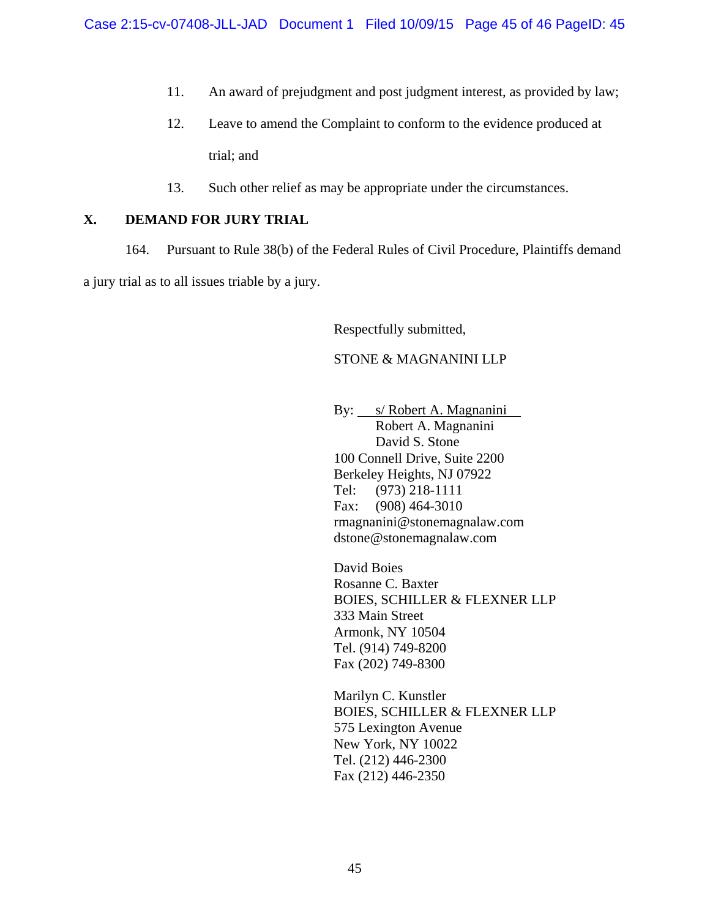- 11. An award of prejudgment and post judgment interest, as provided by law;
- 12. Leave to amend the Complaint to conform to the evidence produced at trial; and
- 13. Such other relief as may be appropriate under the circumstances.

## **X. DEMAND FOR JURY TRIAL**

164. Pursuant to Rule 38(b) of the Federal Rules of Civil Procedure, Plaintiffs demand a jury trial as to all issues triable by a jury.

Respectfully submitted,

## STONE & MAGNANINI LLP

By: *s/ Robert A. Magnanini* Robert A. Magnanini David S. Stone 100 Connell Drive, Suite 2200 Berkeley Heights, NJ 07922 Tel: (973) 218-1111 Fax: (908) 464-3010 rmagnanini@stonemagnalaw.com dstone@stonemagnalaw.com

David Boies Rosanne C. Baxter BOIES, SCHILLER & FLEXNER LLP 333 Main Street Armonk, NY 10504 Tel. (914) 749-8200 Fax (202) 749-8300

Marilyn C. Kunstler BOIES, SCHILLER & FLEXNER LLP 575 Lexington Avenue New York, NY 10022 Tel. (212) 446-2300 Fax (212) 446-2350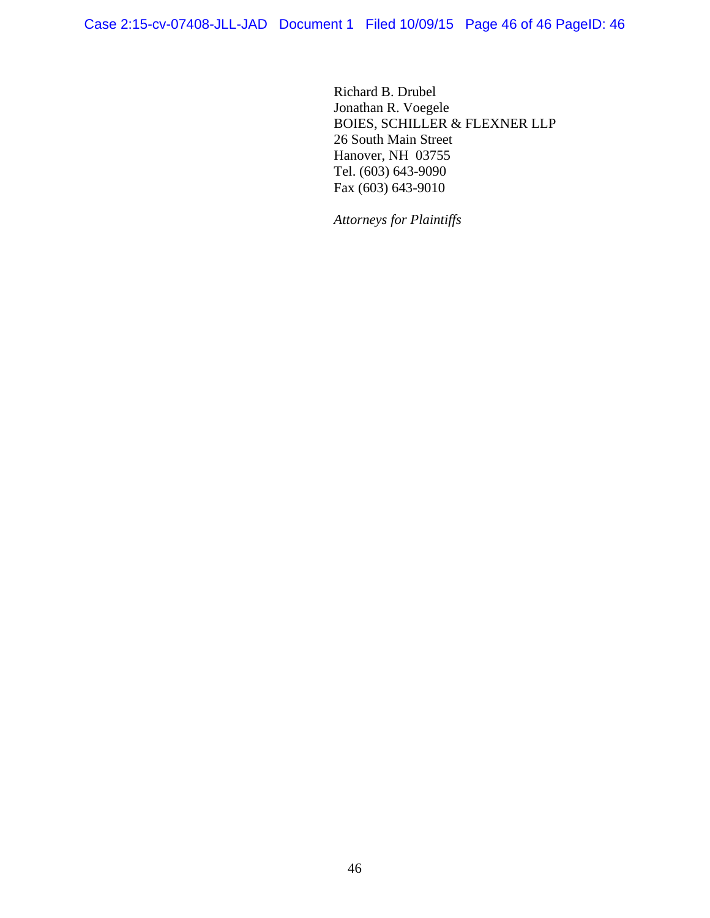Richard B. Drubel Jonathan R. Voegele BOIES, SCHILLER & FLEXNER LLP 26 South Main Street Hanover, NH 03755 Tel. (603) 643-9090 Fax (603) 643-9010

*Attorneys for Plaintiffs*